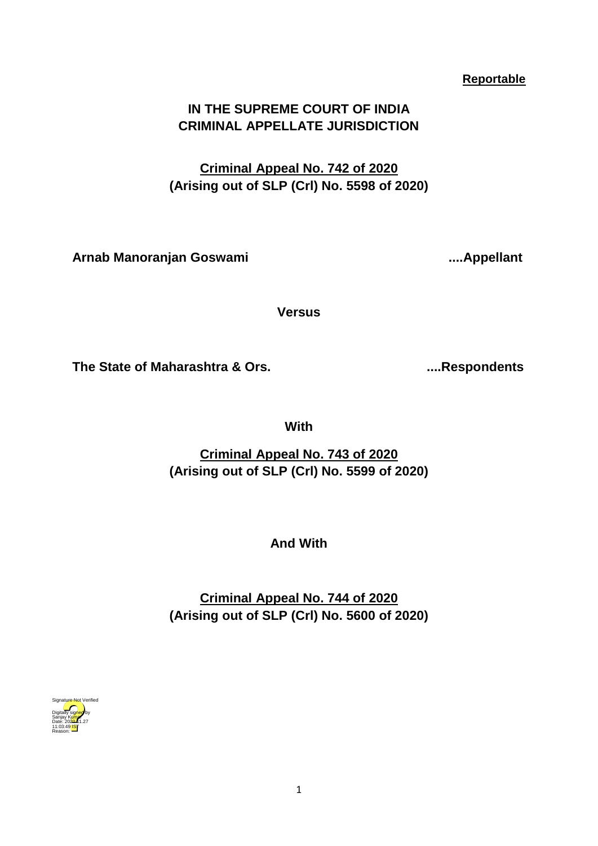## **Reportable**

# **IN THE SUPREME COURT OF INDIA CRIMINAL APPELLATE JURISDICTION**

**Criminal Appeal No. 742 of 2020 (Arising out of SLP (Crl) No. 5598 of 2020)**

**Arnab Manoranjan Goswami ....Appellant**

**Versus**

**The State of Maharashtra & Ors. ....Respondents**

**With**

**Criminal Appeal No. 743 of 2020 (Arising out of SLP (Crl) No. 5599 of 2020)**

**And With**

**Criminal Appeal No. 744 of 2020 (Arising out of SLP (Crl) No. 5600 of 2020)**

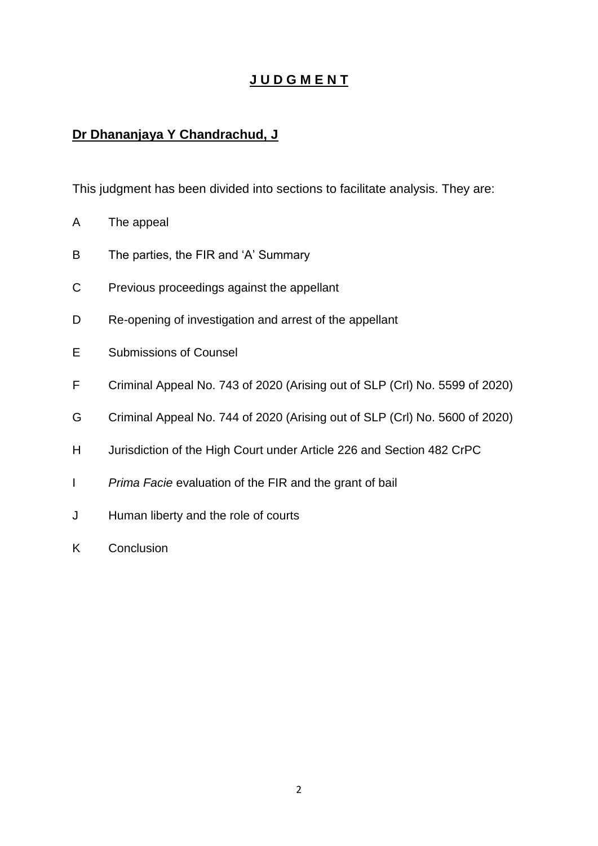# **J U D G M E N T**

# **Dr Dhananjaya Y Chandrachud, J**

This judgment has been divided into sections to facilitate analysis. They are:

- A The appeal
- B The parties, the FIR and 'A' Summary
- C Previous proceedings against the appellant
- D Re-opening of investigation and arrest of the appellant
- E Submissions of Counsel
- F Criminal Appeal No. 743 of 2020 (Arising out of SLP (Crl) No. 5599 of 2020)
- G Criminal Appeal No. 744 of 2020 (Arising out of SLP (Crl) No. 5600 of 2020)
- H Jurisdiction of the High Court under Article 226 and Section 482 CrPC
- I *Prima Facie* evaluation of the FIR and the grant of bail
- J Human liberty and the role of courts
- K Conclusion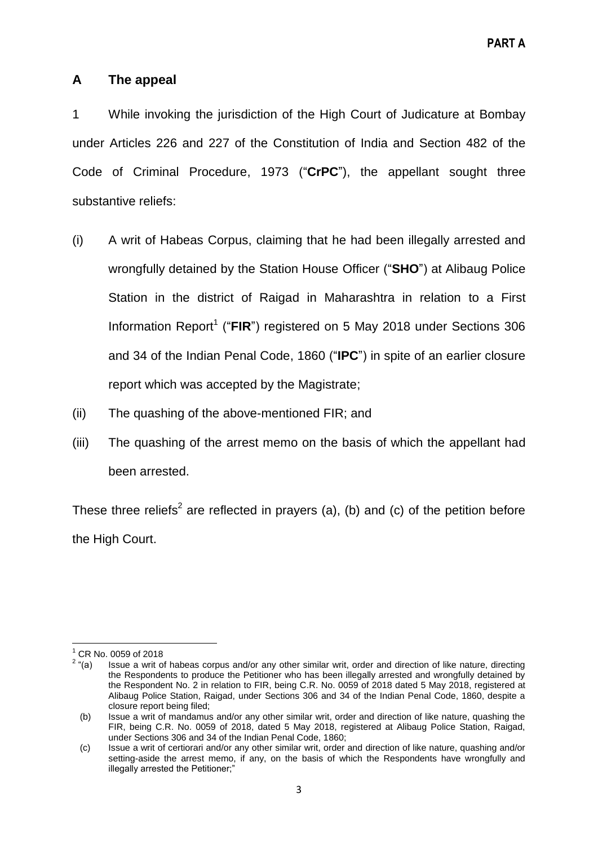## **A The appeal**

1 While invoking the jurisdiction of the High Court of Judicature at Bombay under Articles 226 and 227 of the Constitution of India and Section 482 of the Code of Criminal Procedure, 1973 ("CrPC"), the appellant sought three substantive reliefs:

- (i) A writ of Habeas Corpus, claiming that he had been illegally arrested and wrongfully detained by the Station House Officer ("SHO") at Alibaug Police Station in the district of Raigad in Maharashtra in relation to a First Information Report<sup>1</sup> ("FIR") registered on 5 May 2018 under Sections 306 and 34 of the Indian Penal Code, 1860 ("**IPC**") in spite of an earlier closure report which was accepted by the Magistrate;
- (ii) The quashing of the above-mentioned FIR; and
- (iii) The quashing of the arrest memo on the basis of which the appellant had been arrested.

These three reliefs<sup>2</sup> are reflected in prayers (a), (b) and (c) of the petition before the High Court.

**<sup>.</sup>** <sup>1</sup> CR No. 0059 of 2018

 $2\tilde{u}(a)$ Issue a writ of habeas corpus and/or any other similar writ, order and direction of like nature, directing the Respondents to produce the Petitioner who has been illegally arrested and wrongfully detained by the Respondent No. 2 in relation to FIR, being C.R. No. 0059 of 2018 dated 5 May 2018, registered at Alibaug Police Station, Raigad, under Sections 306 and 34 of the Indian Penal Code, 1860, despite a closure report being filed;

 <sup>(</sup>b) Issue a writ of mandamus and/or any other similar writ, order and direction of like nature, quashing the FIR, being C.R. No. 0059 of 2018, dated 5 May 2018, registered at Alibaug Police Station, Raigad, under Sections 306 and 34 of the Indian Penal Code, 1860;

 <sup>(</sup>c) Issue a writ of certiorari and/or any other similar writ, order and direction of like nature, quashing and/or setting-aside the arrest memo, if any, on the basis of which the Respondents have wrongfully and illegally arrested the Petitioner;"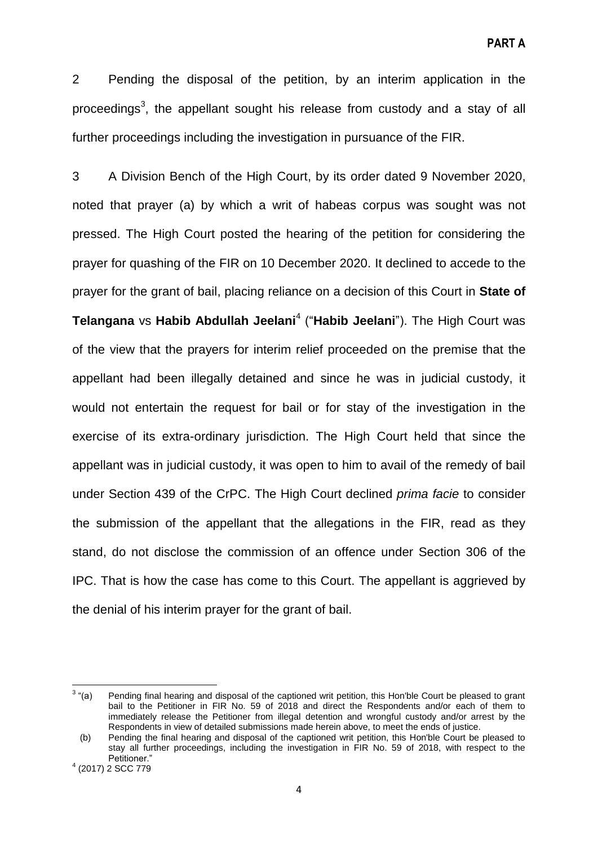2 Pending the disposal of the petition, by an interim application in the proceedings<sup>3</sup>, the appellant sought his release from custody and a stay of all further proceedings including the investigation in pursuance of the FIR.

3 A Division Bench of the High Court, by its order dated 9 November 2020, noted that prayer (a) by which a writ of habeas corpus was sought was not pressed. The High Court posted the hearing of the petition for considering the prayer for quashing of the FIR on 10 December 2020. It declined to accede to the prayer for the grant of bail, placing reliance on a decision of this Court in **State of Telangana** vs Habib Abdullah Jeelani<sup>4</sup> ("Habib Jeelani"). The High Court was of the view that the prayers for interim relief proceeded on the premise that the appellant had been illegally detained and since he was in judicial custody, it would not entertain the request for bail or for stay of the investigation in the exercise of its extra-ordinary jurisdiction. The High Court held that since the appellant was in judicial custody, it was open to him to avail of the remedy of bail under Section 439 of the CrPC. The High Court declined *prima facie* to consider the submission of the appellant that the allegations in the FIR, read as they stand, do not disclose the commission of an offence under Section 306 of the IPC. That is how the case has come to this Court. The appellant is aggrieved by the denial of his interim prayer for the grant of bail.

 $\frac{1}{3}$ Pending final hearing and disposal of the captioned writ petition, this Hon'ble Court be pleased to grant bail to the Petitioner in FIR No. 59 of 2018 and direct the Respondents and/or each of them to immediately release the Petitioner from illegal detention and wrongful custody and/or arrest by the Respondents in view of detailed submissions made herein above, to meet the ends of justice.

 <sup>(</sup>b) Pending the final hearing and disposal of the captioned writ petition, this Hon'ble Court be pleased to stay all further proceedings, including the investigation in FIR No. 59 of 2018, with respect to the Petitioner."

<sup>4</sup> (2017) 2 SCC 779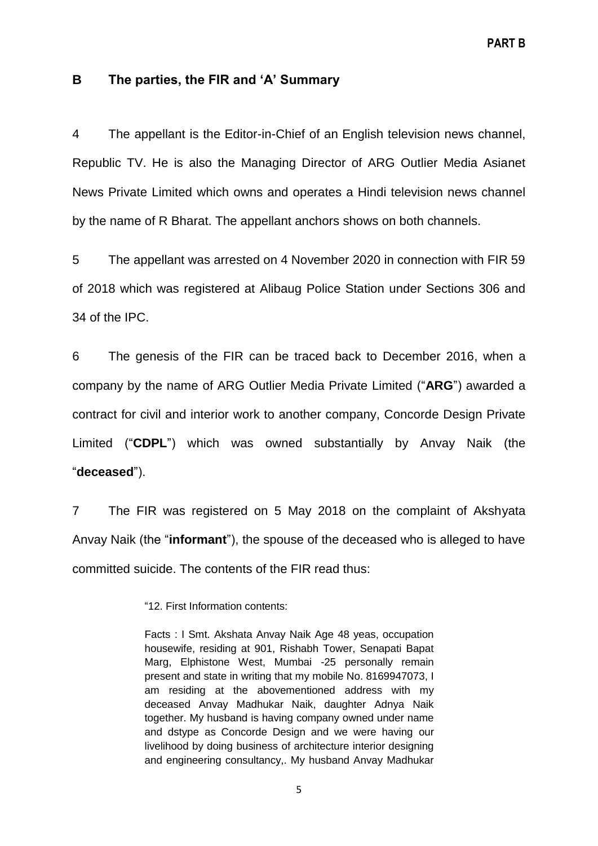#### **B The parties, the FIR and 'A' Summary**

4 The appellant is the Editor-in-Chief of an English television news channel, Republic TV. He is also the Managing Director of ARG Outlier Media Asianet News Private Limited which owns and operates a Hindi television news channel by the name of R Bharat. The appellant anchors shows on both channels.

5 The appellant was arrested on 4 November 2020 in connection with FIR 59 of 2018 which was registered at Alibaug Police Station under Sections 306 and 34 of the IPC.

6 The genesis of the FIR can be traced back to December 2016, when a company by the name of ARG Outlier Media Private Limited ("ARG") awarded a contract for civil and interior work to another company, Concorde Design Private Limited ("CDPL") which was owned substantially by Anvay Naik (the ―**deceased**‖).

7 The FIR was registered on 5 May 2018 on the complaint of Akshyata Anvay Naik (the "**informant**"), the spouse of the deceased who is alleged to have committed suicide. The contents of the FIR read thus:

―12. First Information contents:

Facts : I Smt. Akshata Anvay Naik Age 48 yeas, occupation housewife, residing at 901, Rishabh Tower, Senapati Bapat Marg, Elphistone West, Mumbai -25 personally remain present and state in writing that my mobile No. 8169947073, I am residing at the abovementioned address with my deceased Anvay Madhukar Naik, daughter Adnya Naik together. My husband is having company owned under name and dstype as Concorde Design and we were having our livelihood by doing business of architecture interior designing and engineering consultancy,. My husband Anvay Madhukar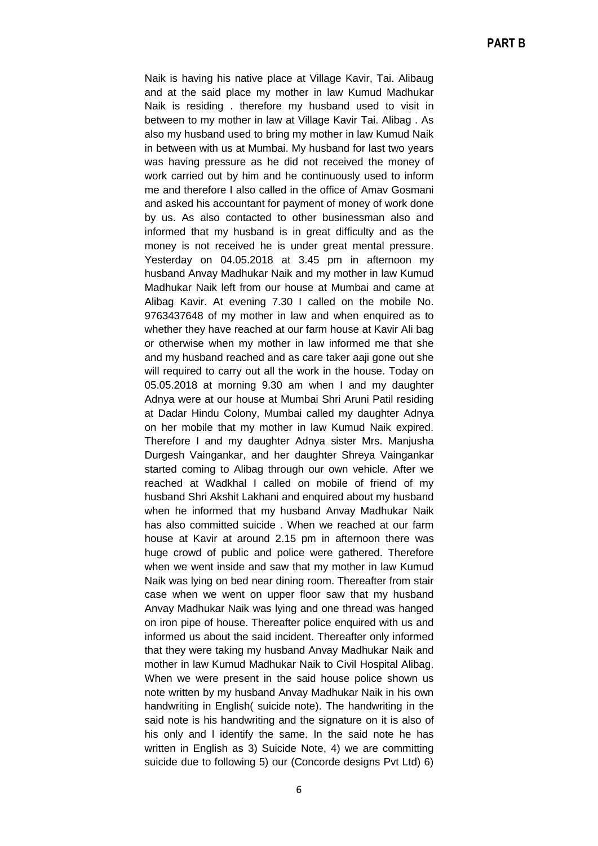Naik is having his native place at Village Kavir, Tai. Alibaug and at the said place my mother in law Kumud Madhukar Naik is residing . therefore my husband used to visit in between to my mother in law at Village Kavir Tai. Alibag . As also my husband used to bring my mother in law Kumud Naik in between with us at Mumbai. My husband for last two years was having pressure as he did not received the money of work carried out by him and he continuously used to inform me and therefore I also called in the office of Amav Gosmani and asked his accountant for payment of money of work done by us. As also contacted to other businessman also and informed that my husband is in great difficulty and as the money is not received he is under great mental pressure. Yesterday on 04.05.2018 at 3.45 pm in afternoon my husband Anvay Madhukar Naik and my mother in law Kumud Madhukar Naik left from our house at Mumbai and came at Alibag Kavir. At evening 7.30 I called on the mobile No. 9763437648 of my mother in law and when enquired as to whether they have reached at our farm house at Kavir Ali bag or otherwise when my mother in law informed me that she and my husband reached and as care taker aaji gone out she will required to carry out all the work in the house. Today on 05.05.2018 at morning 9.30 am when I and my daughter Adnya were at our house at Mumbai Shri Aruni Patil residing at Dadar Hindu Colony, Mumbai called my daughter Adnya on her mobile that my mother in law Kumud Naik expired. Therefore I and my daughter Adnya sister Mrs. Manjusha Durgesh Vaingankar, and her daughter Shreya Vaingankar started coming to Alibag through our own vehicle. After we reached at Wadkhal I called on mobile of friend of my husband Shri Akshit Lakhani and enquired about my husband when he informed that my husband Anvay Madhukar Naik has also committed suicide . When we reached at our farm house at Kavir at around 2.15 pm in afternoon there was huge crowd of public and police were gathered. Therefore when we went inside and saw that my mother in law Kumud Naik was lying on bed near dining room. Thereafter from stair case when we went on upper floor saw that my husband Anvay Madhukar Naik was lying and one thread was hanged on iron pipe of house. Thereafter police enquired with us and informed us about the said incident. Thereafter only informed that they were taking my husband Anvay Madhukar Naik and mother in law Kumud Madhukar Naik to Civil Hospital Alibag. When we were present in the said house police shown us note written by my husband Anvay Madhukar Naik in his own handwriting in English( suicide note). The handwriting in the said note is his handwriting and the signature on it is also of his only and l identify the same. In the said note he has written in English as 3) Suicide Note, 4) we are committing suicide due to following 5) our (Concorde designs Pvt Ltd) 6)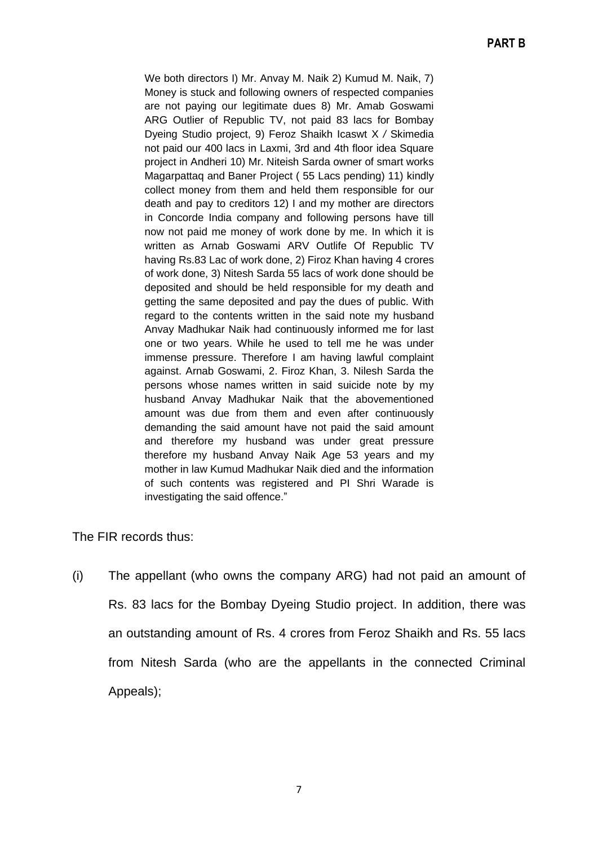We both directors I) Mr. Anvay M. Naik 2) Kumud M. Naik, 7) Money is stuck and following owners of respected companies are not paying our legitimate dues 8) Mr. Amab Goswami ARG Outlier of Republic TV, not paid 83 lacs for Bombay Dyeing Studio project, 9) Feroz Shaikh Icaswt X */* Skimedia not paid our 400 lacs in Laxmi, 3rd and 4th floor idea Square project in Andheri 10) Mr. Niteish Sarda owner of smart works Magarpattaq and Baner Project ( 55 Lacs pending) 11) kindly collect money from them and held them responsible for our death and pay to creditors 12) I and my mother are directors in Concorde India company and following persons have till now not paid me money of work done by me. In which it is written as Arnab Goswami ARV Outlife Of Republic TV having Rs.83 Lac of work done, 2) Firoz Khan having 4 crores of work done, 3) Nitesh Sarda 55 lacs of work done should be deposited and should be held responsible for my death and getting the same deposited and pay the dues of public. With regard to the contents written in the said note my husband Anvay Madhukar Naik had continuously informed me for last one or two years. While he used to tell me he was under immense pressure. Therefore I am having lawful complaint against. Arnab Goswami, 2. Firoz Khan, 3. Nilesh Sarda the persons whose names written in said suicide note by my husband Anvay Madhukar Naik that the abovementioned amount was due from them and even after continuously demanding the said amount have not paid the said amount and therefore my husband was under great pressure therefore my husband Anvay Naik Age 53 years and my mother in law Kumud Madhukar Naik died and the information of such contents was registered and PI Shri Warade is investigating the said offence."

The FIR records thus:

(i) The appellant (who owns the company ARG) had not paid an amount of Rs. 83 lacs for the Bombay Dyeing Studio project. In addition, there was an outstanding amount of Rs. 4 crores from Feroz Shaikh and Rs. 55 lacs from Nitesh Sarda (who are the appellants in the connected Criminal Appeals);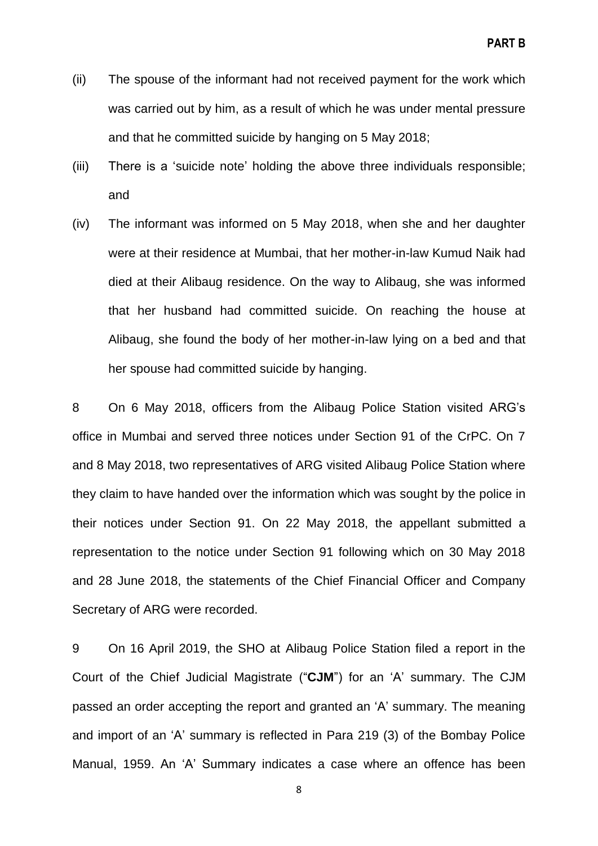- (ii) The spouse of the informant had not received payment for the work which was carried out by him, as a result of which he was under mental pressure and that he committed suicide by hanging on 5 May 2018;
- (iii) There is a 'suicide note' holding the above three individuals responsible; and
- (iv) The informant was informed on 5 May 2018, when she and her daughter were at their residence at Mumbai, that her mother-in-law Kumud Naik had died at their Alibaug residence. On the way to Alibaug, she was informed that her husband had committed suicide. On reaching the house at Alibaug, she found the body of her mother-in-law lying on a bed and that her spouse had committed suicide by hanging.

8 On 6 May 2018, officers from the Alibaug Police Station visited ARG's office in Mumbai and served three notices under Section 91 of the CrPC. On 7 and 8 May 2018, two representatives of ARG visited Alibaug Police Station where they claim to have handed over the information which was sought by the police in their notices under Section 91. On 22 May 2018, the appellant submitted a representation to the notice under Section 91 following which on 30 May 2018 and 28 June 2018, the statements of the Chief Financial Officer and Company Secretary of ARG were recorded.

9 On 16 April 2019, the SHO at Alibaug Police Station filed a report in the Court of the Chief Judicial Magistrate ("CJM") for an 'A' summary. The CJM passed an order accepting the report and granted an 'A' summary. The meaning and import of an 'A' summary is reflected in Para 219 (3) of the Bombay Police Manual, 1959. An 'A' Summary indicates a case where an offence has been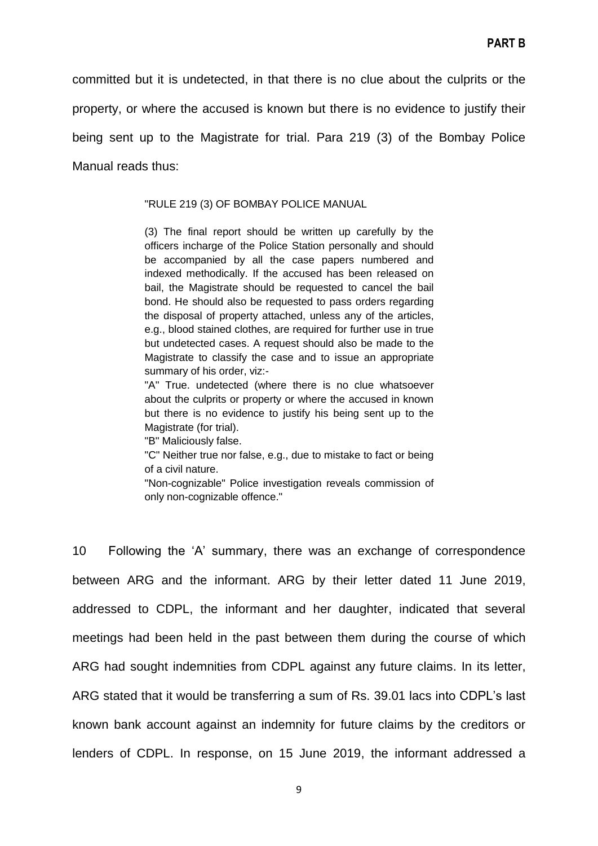committed but it is undetected, in that there is no clue about the culprits or the property, or where the accused is known but there is no evidence to justify their being sent up to the Magistrate for trial. Para 219 (3) of the Bombay Police Manual reads thus:

"RULE 219 (3) OF BOMBAY POLICE MANUAL

(3) The final report should be written up carefully by the officers incharge of the Police Station personally and should be accompanied by all the case papers numbered and indexed methodically. If the accused has been released on bail, the Magistrate should be requested to cancel the bail bond. He should also be requested to pass orders regarding the disposal of property attached, unless any of the articles, e.g., blood stained clothes, are required for further use in true but undetected cases. A request should also be made to the Magistrate to classify the case and to issue an appropriate summary of his order, viz:-

"A" True. undetected (where there is no clue whatsoever about the culprits or property or where the accused in known but there is no evidence to justify his being sent up to the Magistrate (for trial).

"B" Maliciously false.

"C" Neither true nor false, e.g., due to mistake to fact or being of a civil nature.

"Non-cognizable" Police investigation reveals commission of only non-cognizable offence."

10 Following the ‗A' summary, there was an exchange of correspondence between ARG and the informant. ARG by their letter dated 11 June 2019, addressed to CDPL, the informant and her daughter, indicated that several meetings had been held in the past between them during the course of which ARG had sought indemnities from CDPL against any future claims. In its letter, ARG stated that it would be transferring a sum of Rs. 39.01 lacs into CDPL's last known bank account against an indemnity for future claims by the creditors or lenders of CDPL. In response, on 15 June 2019, the informant addressed a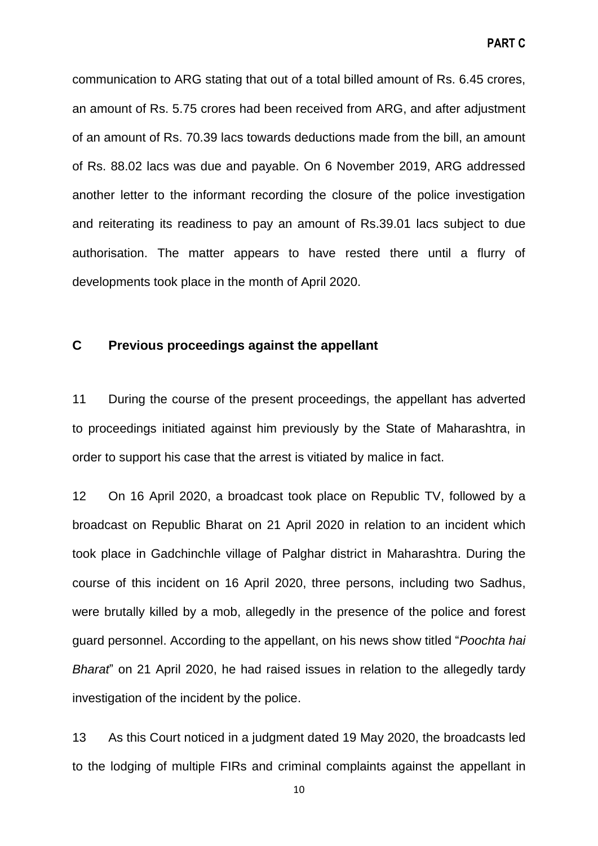communication to ARG stating that out of a total billed amount of Rs. 6.45 crores, an amount of Rs. 5.75 crores had been received from ARG, and after adjustment of an amount of Rs. 70.39 lacs towards deductions made from the bill, an amount of Rs. 88.02 lacs was due and payable. On 6 November 2019, ARG addressed another letter to the informant recording the closure of the police investigation and reiterating its readiness to pay an amount of Rs.39.01 lacs subject to due authorisation. The matter appears to have rested there until a flurry of developments took place in the month of April 2020.

## **C Previous proceedings against the appellant**

11 During the course of the present proceedings, the appellant has adverted to proceedings initiated against him previously by the State of Maharashtra, in order to support his case that the arrest is vitiated by malice in fact.

12 On 16 April 2020, a broadcast took place on Republic TV, followed by a broadcast on Republic Bharat on 21 April 2020 in relation to an incident which took place in Gadchinchle village of Palghar district in Maharashtra. During the course of this incident on 16 April 2020, three persons, including two Sadhus, were brutally killed by a mob, allegedly in the presence of the police and forest guard personnel. According to the appellant, on his news show titled "Poochta hai *Bharat*‖ on 21 April 2020, he had raised issues in relation to the allegedly tardy investigation of the incident by the police.

13 As this Court noticed in a judgment dated 19 May 2020, the broadcasts led to the lodging of multiple FIRs and criminal complaints against the appellant in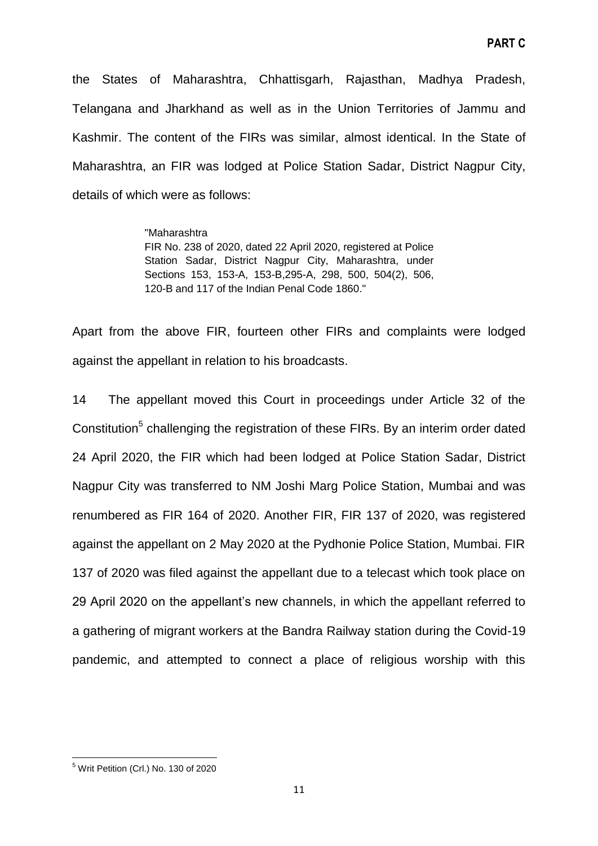the States of Maharashtra, Chhattisgarh, Rajasthan, Madhya Pradesh, Telangana and Jharkhand as well as in the Union Territories of Jammu and Kashmir. The content of the FIRs was similar, almost identical. In the State of Maharashtra, an FIR was lodged at Police Station Sadar, District Nagpur City, details of which were as follows:

> "Maharashtra FIR No. 238 of 2020, dated 22 April 2020, registered at Police Station Sadar, District Nagpur City, Maharashtra, under Sections 153, 153-A, 153-B,295-A, 298, 500, 504(2), 506, 120-B and 117 of the Indian Penal Code 1860."

Apart from the above FIR, fourteen other FIRs and complaints were lodged against the appellant in relation to his broadcasts.

14 The appellant moved this Court in proceedings under Article 32 of the Constitution<sup>5</sup> challenging the registration of these FIRs. By an interim order dated 24 April 2020, the FIR which had been lodged at Police Station Sadar, District Nagpur City was transferred to NM Joshi Marg Police Station, Mumbai and was renumbered as FIR 164 of 2020. Another FIR, FIR 137 of 2020, was registered against the appellant on 2 May 2020 at the Pydhonie Police Station, Mumbai. FIR 137 of 2020 was filed against the appellant due to a telecast which took place on 29 April 2020 on the appellant's new channels, in which the appellant referred to a gathering of migrant workers at the Bandra Railway station during the Covid-19 pandemic, and attempted to connect a place of religious worship with this

**<sup>.</sup>** <sup>5</sup> Writ Petition (Crl.) No. 130 of 2020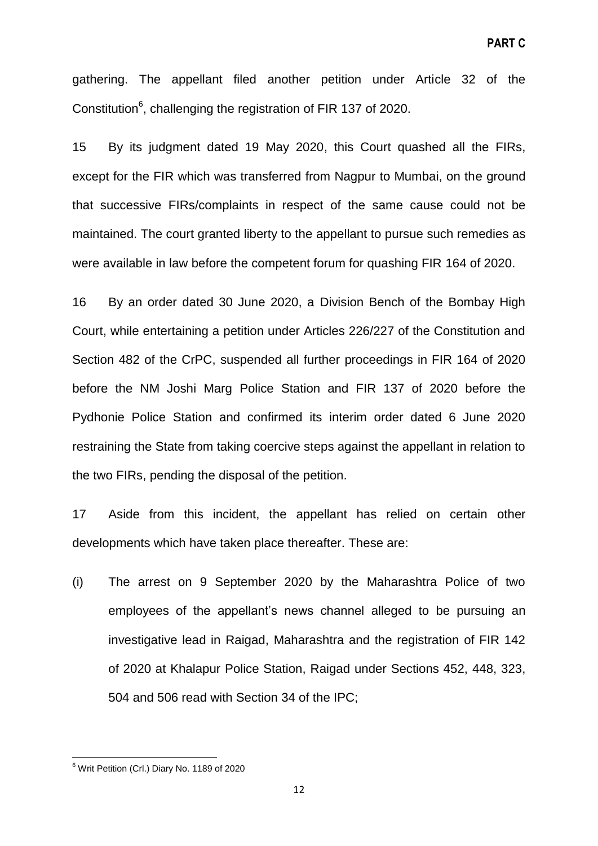gathering. The appellant filed another petition under Article 32 of the Constitution<sup>6</sup>, challenging the registration of FIR 137 of 2020.

15 By its judgment dated 19 May 2020, this Court quashed all the FIRs, except for the FIR which was transferred from Nagpur to Mumbai, on the ground that successive FIRs/complaints in respect of the same cause could not be maintained. The court granted liberty to the appellant to pursue such remedies as were available in law before the competent forum for quashing FIR 164 of 2020.

16 By an order dated 30 June 2020, a Division Bench of the Bombay High Court, while entertaining a petition under Articles 226/227 of the Constitution and Section 482 of the CrPC, suspended all further proceedings in FIR 164 of 2020 before the NM Joshi Marg Police Station and FIR 137 of 2020 before the Pydhonie Police Station and confirmed its interim order dated 6 June 2020 restraining the State from taking coercive steps against the appellant in relation to the two FIRs, pending the disposal of the petition.

17 Aside from this incident, the appellant has relied on certain other developments which have taken place thereafter. These are:

(i) The arrest on 9 September 2020 by the Maharashtra Police of two employees of the appellant's news channel alleged to be pursuing an investigative lead in Raigad, Maharashtra and the registration of FIR 142 of 2020 at Khalapur Police Station, Raigad under Sections 452, 448, 323, 504 and 506 read with Section 34 of the IPC;

**.** 

<sup>&</sup>lt;sup>6</sup> Writ Petition (Crl.) Diary No. 1189 of 2020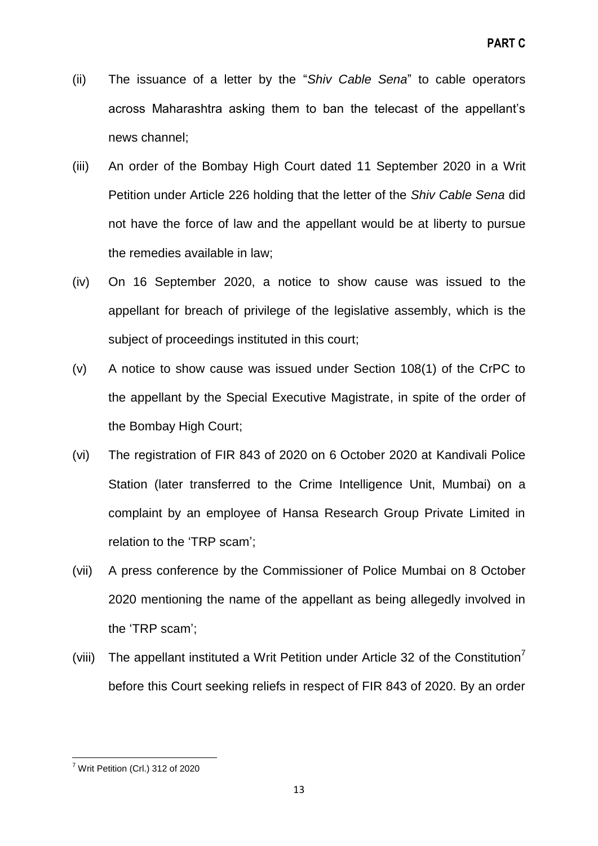- (ii) The issuance of a letter by the "Shiv Cable Sena" to cable operators across Maharashtra asking them to ban the telecast of the appellant's news channel;
- (iii) An order of the Bombay High Court dated 11 September 2020 in a Writ Petition under Article 226 holding that the letter of the *Shiv Cable Sena* did not have the force of law and the appellant would be at liberty to pursue the remedies available in law;
- (iv) On 16 September 2020, a notice to show cause was issued to the appellant for breach of privilege of the legislative assembly, which is the subject of proceedings instituted in this court;
- (v) A notice to show cause was issued under Section 108(1) of the CrPC to the appellant by the Special Executive Magistrate, in spite of the order of the Bombay High Court;
- (vi) The registration of FIR 843 of 2020 on 6 October 2020 at Kandivali Police Station (later transferred to the Crime Intelligence Unit, Mumbai) on a complaint by an employee of Hansa Research Group Private Limited in relation to the 'TRP scam';
- (vii) A press conference by the Commissioner of Police Mumbai on 8 October 2020 mentioning the name of the appellant as being allegedly involved in the 'TRP scam';
- (viii) The appellant instituted a Writ Petition under Article 32 of the Constitution<sup>7</sup> before this Court seeking reliefs in respect of FIR 843 of 2020. By an order

**<sup>.</sup>**  $7$  Writ Petition (Crl.) 312 of 2020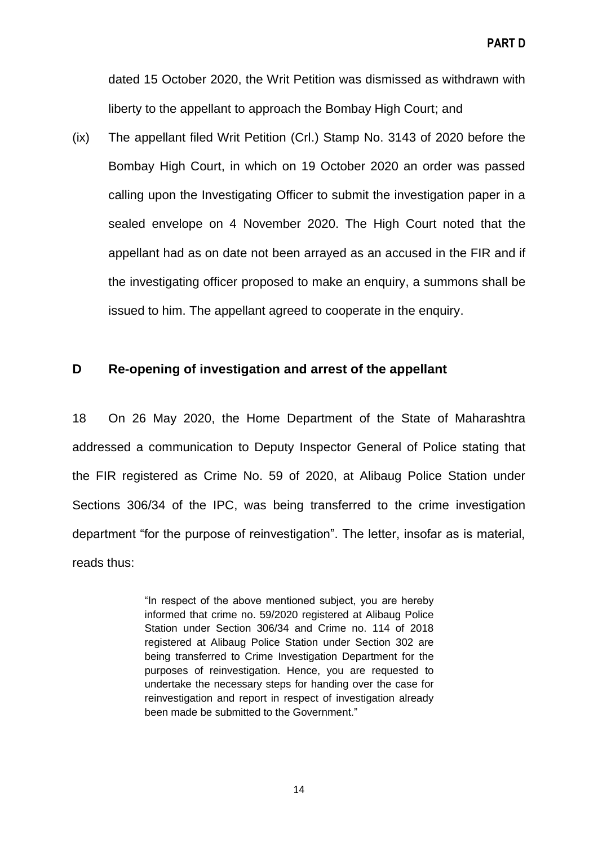dated 15 October 2020, the Writ Petition was dismissed as withdrawn with liberty to the appellant to approach the Bombay High Court; and

(ix) The appellant filed Writ Petition (Crl.) Stamp No. 3143 of 2020 before the Bombay High Court, in which on 19 October 2020 an order was passed calling upon the Investigating Officer to submit the investigation paper in a sealed envelope on 4 November 2020. The High Court noted that the appellant had as on date not been arrayed as an accused in the FIR and if the investigating officer proposed to make an enquiry, a summons shall be issued to him. The appellant agreed to cooperate in the enquiry.

# **D Re-opening of investigation and arrest of the appellant**

18 On 26 May 2020, the Home Department of the State of Maharashtra addressed a communication to Deputy Inspector General of Police stating that the FIR registered as Crime No. 59 of 2020, at Alibaug Police Station under Sections 306/34 of the IPC, was being transferred to the crime investigation department "for the purpose of reinvestigation". The letter, insofar as is material, reads thus:

> "In respect of the above mentioned subject, you are hereby informed that crime no. 59/2020 registered at Alibaug Police Station under Section 306/34 and Crime no. 114 of 2018 registered at Alibaug Police Station under Section 302 are being transferred to Crime Investigation Department for the purposes of reinvestigation. Hence, you are requested to undertake the necessary steps for handing over the case for reinvestigation and report in respect of investigation already been made be submitted to the Government."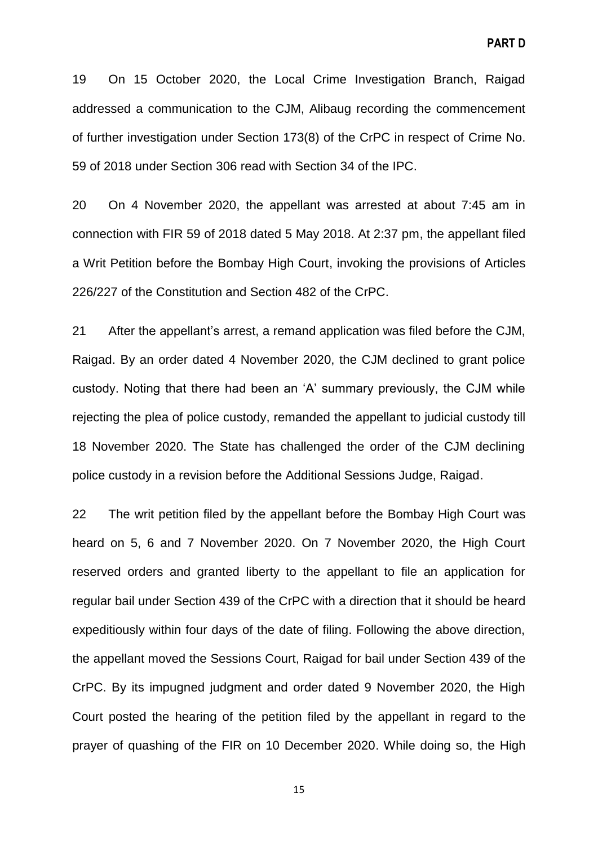19 On 15 October 2020, the Local Crime Investigation Branch, Raigad addressed a communication to the CJM, Alibaug recording the commencement of further investigation under Section 173(8) of the CrPC in respect of Crime No. 59 of 2018 under Section 306 read with Section 34 of the IPC.

20 On 4 November 2020, the appellant was arrested at about 7:45 am in connection with FIR 59 of 2018 dated 5 May 2018. At 2:37 pm, the appellant filed a Writ Petition before the Bombay High Court, invoking the provisions of Articles 226/227 of the Constitution and Section 482 of the CrPC.

21 After the appellant's arrest, a remand application was filed before the CJM, Raigad. By an order dated 4 November 2020, the CJM declined to grant police custody. Noting that there had been an 'A' summary previously, the CJM while rejecting the plea of police custody, remanded the appellant to judicial custody till 18 November 2020. The State has challenged the order of the CJM declining police custody in a revision before the Additional Sessions Judge, Raigad.

22 The writ petition filed by the appellant before the Bombay High Court was heard on 5, 6 and 7 November 2020. On 7 November 2020, the High Court reserved orders and granted liberty to the appellant to file an application for regular bail under Section 439 of the CrPC with a direction that it should be heard expeditiously within four days of the date of filing. Following the above direction, the appellant moved the Sessions Court, Raigad for bail under Section 439 of the CrPC. By its impugned judgment and order dated 9 November 2020, the High Court posted the hearing of the petition filed by the appellant in regard to the prayer of quashing of the FIR on 10 December 2020. While doing so, the High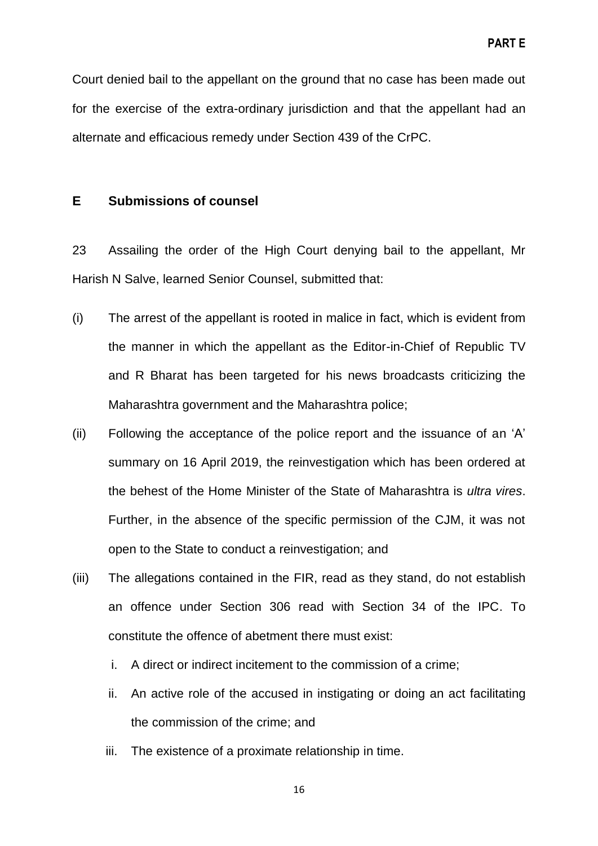Court denied bail to the appellant on the ground that no case has been made out for the exercise of the extra-ordinary jurisdiction and that the appellant had an alternate and efficacious remedy under Section 439 of the CrPC.

#### **E Submissions of counsel**

23 Assailing the order of the High Court denying bail to the appellant, Mr Harish N Salve, learned Senior Counsel, submitted that:

- (i) The arrest of the appellant is rooted in malice in fact, which is evident from the manner in which the appellant as the Editor-in-Chief of Republic TV and R Bharat has been targeted for his news broadcasts criticizing the Maharashtra government and the Maharashtra police;
- (ii) Following the acceptance of the police report and the issuance of an 'A' summary on 16 April 2019, the reinvestigation which has been ordered at the behest of the Home Minister of the State of Maharashtra is *ultra vires*. Further, in the absence of the specific permission of the CJM, it was not open to the State to conduct a reinvestigation; and
- (iii) The allegations contained in the FIR, read as they stand, do not establish an offence under Section 306 read with Section 34 of the IPC. To constitute the offence of abetment there must exist:
	- i. A direct or indirect incitement to the commission of a crime;
	- ii. An active role of the accused in instigating or doing an act facilitating the commission of the crime; and
	- iii. The existence of a proximate relationship in time.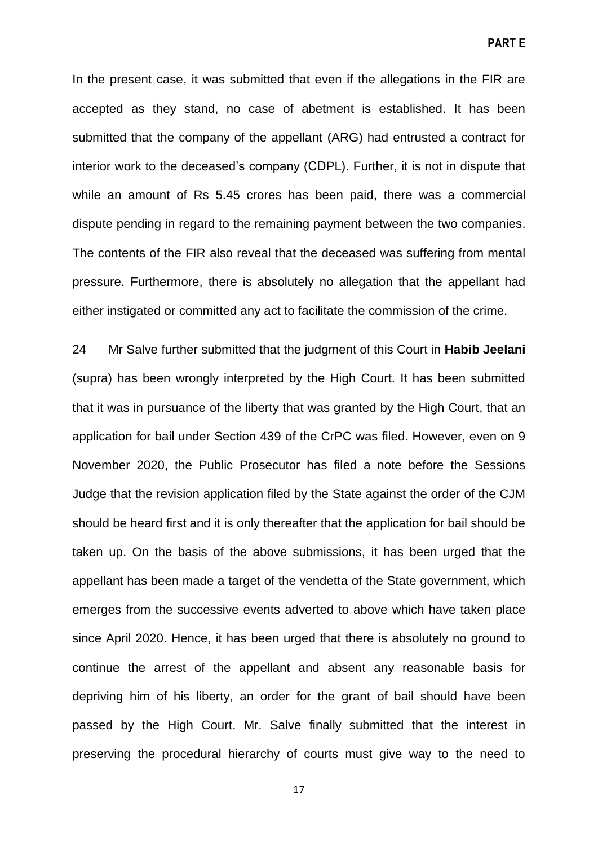**PART E**

In the present case, it was submitted that even if the allegations in the FIR are accepted as they stand, no case of abetment is established. It has been submitted that the company of the appellant (ARG) had entrusted a contract for interior work to the deceased's company (CDPL). Further, it is not in dispute that while an amount of Rs 5.45 crores has been paid, there was a commercial dispute pending in regard to the remaining payment between the two companies. The contents of the FIR also reveal that the deceased was suffering from mental pressure. Furthermore, there is absolutely no allegation that the appellant had either instigated or committed any act to facilitate the commission of the crime.

24 Mr Salve further submitted that the judgment of this Court in **Habib Jeelani** (supra) has been wrongly interpreted by the High Court. It has been submitted that it was in pursuance of the liberty that was granted by the High Court, that an application for bail under Section 439 of the CrPC was filed. However, even on 9 November 2020, the Public Prosecutor has filed a note before the Sessions Judge that the revision application filed by the State against the order of the CJM should be heard first and it is only thereafter that the application for bail should be taken up. On the basis of the above submissions, it has been urged that the appellant has been made a target of the vendetta of the State government, which emerges from the successive events adverted to above which have taken place since April 2020. Hence, it has been urged that there is absolutely no ground to continue the arrest of the appellant and absent any reasonable basis for depriving him of his liberty, an order for the grant of bail should have been passed by the High Court. Mr. Salve finally submitted that the interest in preserving the procedural hierarchy of courts must give way to the need to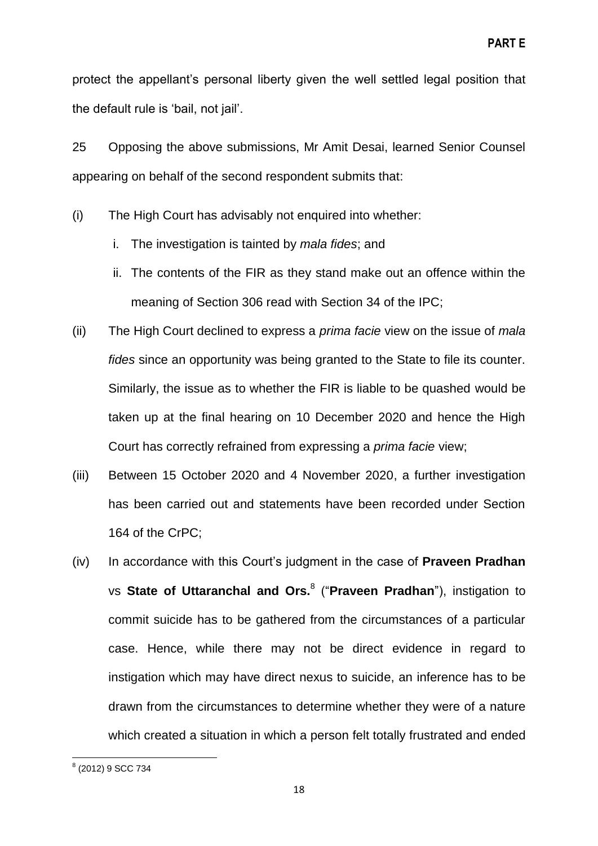protect the appellant's personal liberty given the well settled legal position that the default rule is 'bail, not jail'.

25 Opposing the above submissions, Mr Amit Desai, learned Senior Counsel appearing on behalf of the second respondent submits that:

- (i) The High Court has advisably not enquired into whether:
	- i. The investigation is tainted by *mala fides*; and
	- ii. The contents of the FIR as they stand make out an offence within the meaning of Section 306 read with Section 34 of the IPC;
- (ii) The High Court declined to express a *prima facie* view on the issue of *mala fides* since an opportunity was being granted to the State to file its counter. Similarly, the issue as to whether the FIR is liable to be quashed would be taken up at the final hearing on 10 December 2020 and hence the High Court has correctly refrained from expressing a *prima facie* view;
- (iii) Between 15 October 2020 and 4 November 2020, a further investigation has been carried out and statements have been recorded under Section 164 of the CrPC;
- (iv) In accordance with this Court's judgment in the case of **Praveen Pradhan** vs State of Uttaranchal and Ors.<sup>8</sup> ("Praveen Pradhan"), instigation to commit suicide has to be gathered from the circumstances of a particular case. Hence, while there may not be direct evidence in regard to instigation which may have direct nexus to suicide, an inference has to be drawn from the circumstances to determine whether they were of a nature which created a situation in which a person felt totally frustrated and ended

 8 (2012) 9 SCC 734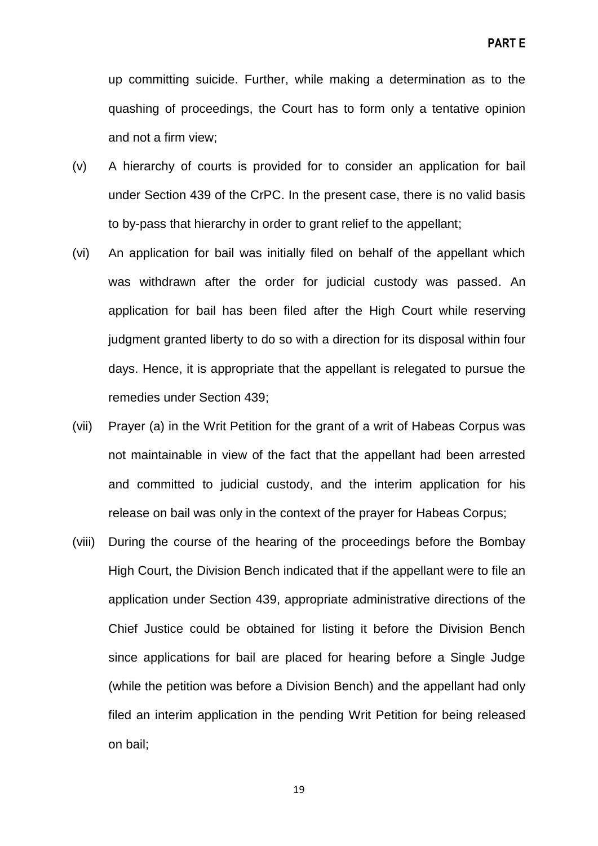up committing suicide. Further, while making a determination as to the quashing of proceedings, the Court has to form only a tentative opinion and not a firm view;

- (v) A hierarchy of courts is provided for to consider an application for bail under Section 439 of the CrPC. In the present case, there is no valid basis to by-pass that hierarchy in order to grant relief to the appellant;
- (vi) An application for bail was initially filed on behalf of the appellant which was withdrawn after the order for judicial custody was passed. An application for bail has been filed after the High Court while reserving judgment granted liberty to do so with a direction for its disposal within four days. Hence, it is appropriate that the appellant is relegated to pursue the remedies under Section 439;
- (vii) Prayer (a) in the Writ Petition for the grant of a writ of Habeas Corpus was not maintainable in view of the fact that the appellant had been arrested and committed to judicial custody, and the interim application for his release on bail was only in the context of the prayer for Habeas Corpus;
- (viii) During the course of the hearing of the proceedings before the Bombay High Court, the Division Bench indicated that if the appellant were to file an application under Section 439, appropriate administrative directions of the Chief Justice could be obtained for listing it before the Division Bench since applications for bail are placed for hearing before a Single Judge (while the petition was before a Division Bench) and the appellant had only filed an interim application in the pending Writ Petition for being released on bail;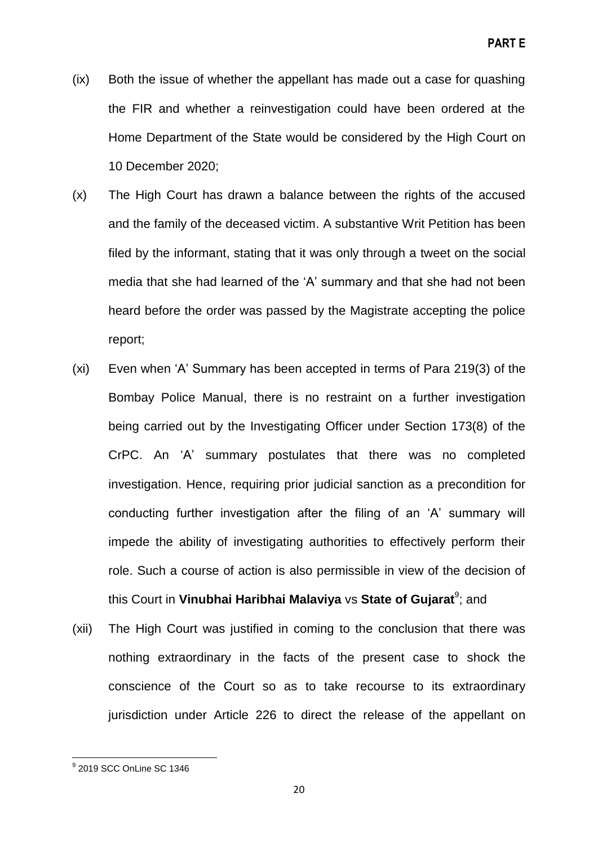- (ix) Both the issue of whether the appellant has made out a case for quashing the FIR and whether a reinvestigation could have been ordered at the Home Department of the State would be considered by the High Court on 10 December 2020;
- (x) The High Court has drawn a balance between the rights of the accused and the family of the deceased victim. A substantive Writ Petition has been filed by the informant, stating that it was only through a tweet on the social media that she had learned of the 'A' summary and that she had not been heard before the order was passed by the Magistrate accepting the police report;
- (xi) Even when 'A' Summary has been accepted in terms of Para 219(3) of the Bombay Police Manual, there is no restraint on a further investigation being carried out by the Investigating Officer under Section 173(8) of the CrPC. An 'A' summary postulates that there was no completed investigation. Hence, requiring prior judicial sanction as a precondition for conducting further investigation after the filing of an 'A' summary will impede the ability of investigating authorities to effectively perform their role. Such a course of action is also permissible in view of the decision of this Court in **Vinubhai Haribhai Malaviya** vs **State of Gujarat**<sup>9</sup>; and
- (xii) The High Court was justified in coming to the conclusion that there was nothing extraordinary in the facts of the present case to shock the conscience of the Court so as to take recourse to its extraordinary jurisdiction under Article 226 to direct the release of the appellant on

 9 2019 SCC OnLine SC 1346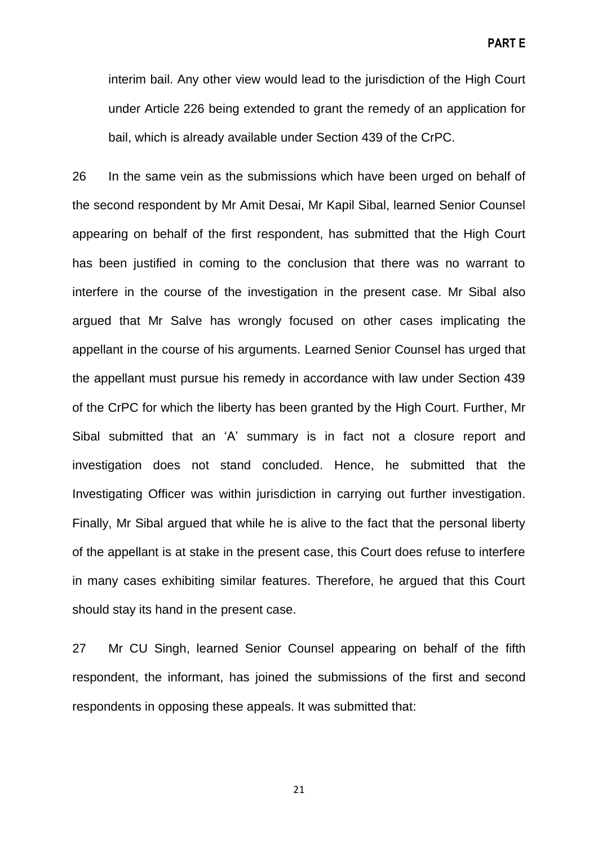**PART E**

interim bail. Any other view would lead to the jurisdiction of the High Court under Article 226 being extended to grant the remedy of an application for bail, which is already available under Section 439 of the CrPC.

26 In the same vein as the submissions which have been urged on behalf of the second respondent by Mr Amit Desai, Mr Kapil Sibal, learned Senior Counsel appearing on behalf of the first respondent, has submitted that the High Court has been justified in coming to the conclusion that there was no warrant to interfere in the course of the investigation in the present case. Mr Sibal also argued that Mr Salve has wrongly focused on other cases implicating the appellant in the course of his arguments. Learned Senior Counsel has urged that the appellant must pursue his remedy in accordance with law under Section 439 of the CrPC for which the liberty has been granted by the High Court. Further, Mr Sibal submitted that an 'A' summary is in fact not a closure report and investigation does not stand concluded. Hence, he submitted that the Investigating Officer was within jurisdiction in carrying out further investigation. Finally, Mr Sibal argued that while he is alive to the fact that the personal liberty of the appellant is at stake in the present case, this Court does refuse to interfere in many cases exhibiting similar features. Therefore, he argued that this Court should stay its hand in the present case.

27 Mr CU Singh, learned Senior Counsel appearing on behalf of the fifth respondent, the informant, has joined the submissions of the first and second respondents in opposing these appeals. It was submitted that: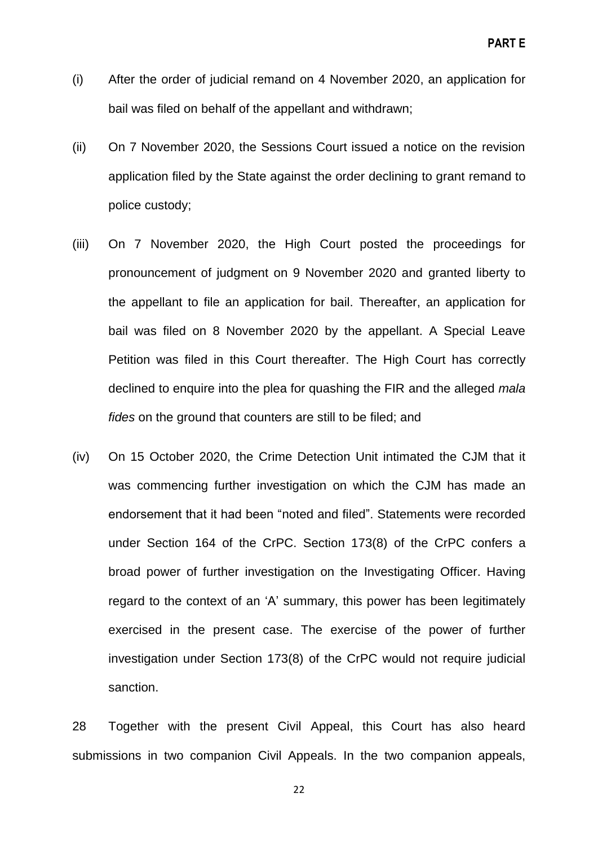- (i) After the order of judicial remand on 4 November 2020, an application for bail was filed on behalf of the appellant and withdrawn;
- (ii) On 7 November 2020, the Sessions Court issued a notice on the revision application filed by the State against the order declining to grant remand to police custody;
- (iii) On 7 November 2020, the High Court posted the proceedings for pronouncement of judgment on 9 November 2020 and granted liberty to the appellant to file an application for bail. Thereafter, an application for bail was filed on 8 November 2020 by the appellant. A Special Leave Petition was filed in this Court thereafter. The High Court has correctly declined to enquire into the plea for quashing the FIR and the alleged *mala fides* on the ground that counters are still to be filed; and
- (iv) On 15 October 2020, the Crime Detection Unit intimated the CJM that it was commencing further investigation on which the CJM has made an endorsement that it had been "noted and filed". Statements were recorded under Section 164 of the CrPC. Section 173(8) of the CrPC confers a broad power of further investigation on the Investigating Officer. Having regard to the context of an 'A' summary, this power has been legitimately exercised in the present case. The exercise of the power of further investigation under Section 173(8) of the CrPC would not require judicial sanction.

28 Together with the present Civil Appeal, this Court has also heard submissions in two companion Civil Appeals. In the two companion appeals,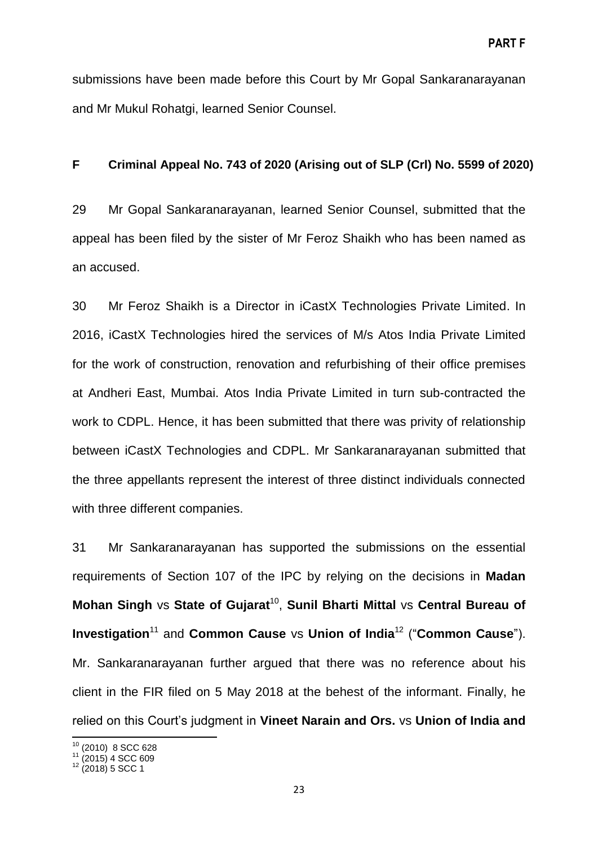submissions have been made before this Court by Mr Gopal Sankaranarayanan and Mr Mukul Rohatgi, learned Senior Counsel.

#### **F Criminal Appeal No. 743 of 2020 (Arising out of SLP (Crl) No. 5599 of 2020)**

29 Mr Gopal Sankaranarayanan, learned Senior Counsel, submitted that the appeal has been filed by the sister of Mr Feroz Shaikh who has been named as an accused.

30 Mr Feroz Shaikh is a Director in iCastX Technologies Private Limited. In 2016, iCastX Technologies hired the services of M/s Atos India Private Limited for the work of construction, renovation and refurbishing of their office premises at Andheri East, Mumbai. Atos India Private Limited in turn sub-contracted the work to CDPL. Hence, it has been submitted that there was privity of relationship between iCastX Technologies and CDPL. Mr Sankaranarayanan submitted that the three appellants represent the interest of three distinct individuals connected with three different companies.

31 Mr Sankaranarayanan has supported the submissions on the essential requirements of Section 107 of the IPC by relying on the decisions in **Madan Mohan Singh vs State of Gujarat<sup>10</sup>, Sunil Bharti Mittal vs Central Bureau of Investigation<sup>11</sup> and Common Cause** vs Union of India<sup>12</sup> ("Common Cause"). Mr. Sankaranarayanan further argued that there was no reference about his client in the FIR filed on 5 May 2018 at the behest of the informant. Finally, he relied on this Court's judgment in **Vineet Narain and Ors.** vs **Union of India and**

**.** 

 $10$  (2010) 8 SCC 628

 $11$  (2015) 4 SCC 609

 $12$  (2018) 5 SCC 1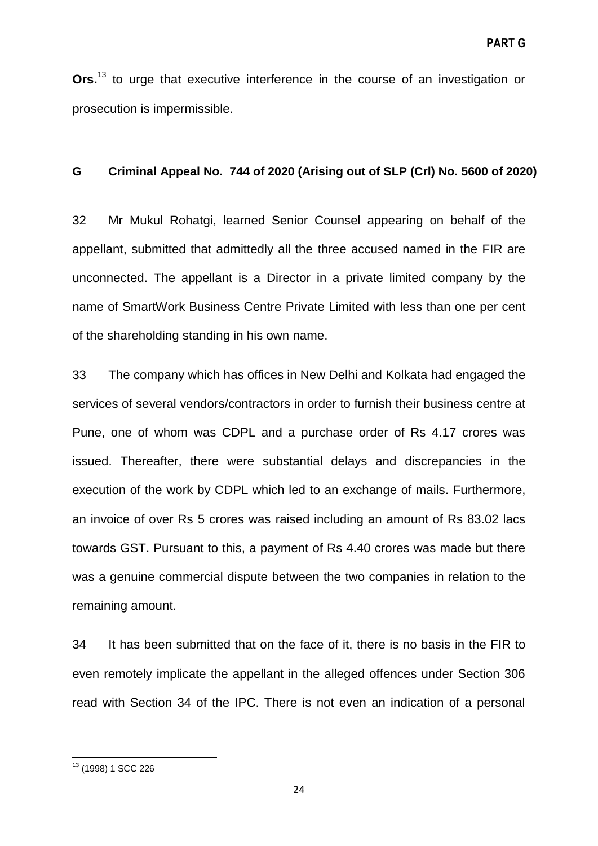**Ors.** <sup>13</sup> to urge that executive interference in the course of an investigation or prosecution is impermissible.

#### **G Criminal Appeal No. 744 of 2020 (Arising out of SLP (Crl) No. 5600 of 2020)**

32 Mr Mukul Rohatgi, learned Senior Counsel appearing on behalf of the appellant, submitted that admittedly all the three accused named in the FIR are unconnected. The appellant is a Director in a private limited company by the name of SmartWork Business Centre Private Limited with less than one per cent of the shareholding standing in his own name.

33 The company which has offices in New Delhi and Kolkata had engaged the services of several vendors/contractors in order to furnish their business centre at Pune, one of whom was CDPL and a purchase order of Rs 4.17 crores was issued. Thereafter, there were substantial delays and discrepancies in the execution of the work by CDPL which led to an exchange of mails. Furthermore, an invoice of over Rs 5 crores was raised including an amount of Rs 83.02 lacs towards GST. Pursuant to this, a payment of Rs 4.40 crores was made but there was a genuine commercial dispute between the two companies in relation to the remaining amount.

34 It has been submitted that on the face of it, there is no basis in the FIR to even remotely implicate the appellant in the alleged offences under Section 306 read with Section 34 of the IPC. There is not even an indication of a personal

**<sup>.</sup>** <sup>13</sup> (1998) 1 SCC 226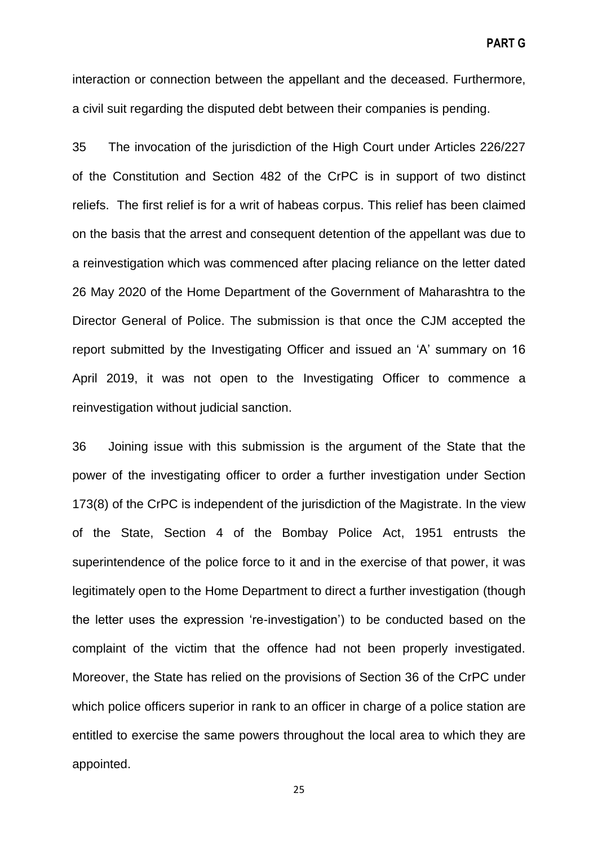interaction or connection between the appellant and the deceased. Furthermore, a civil suit regarding the disputed debt between their companies is pending.

35 The invocation of the jurisdiction of the High Court under Articles 226/227 of the Constitution and Section 482 of the CrPC is in support of two distinct reliefs. The first relief is for a writ of habeas corpus. This relief has been claimed on the basis that the arrest and consequent detention of the appellant was due to a reinvestigation which was commenced after placing reliance on the letter dated 26 May 2020 of the Home Department of the Government of Maharashtra to the Director General of Police. The submission is that once the CJM accepted the report submitted by the Investigating Officer and issued an 'A' summary on 16 April 2019, it was not open to the Investigating Officer to commence a reinvestigation without judicial sanction.

36 Joining issue with this submission is the argument of the State that the power of the investigating officer to order a further investigation under Section 173(8) of the CrPC is independent of the jurisdiction of the Magistrate. In the view of the State, Section 4 of the Bombay Police Act, 1951 entrusts the superintendence of the police force to it and in the exercise of that power, it was legitimately open to the Home Department to direct a further investigation (though the letter uses the expression 're-investigation') to be conducted based on the complaint of the victim that the offence had not been properly investigated. Moreover, the State has relied on the provisions of Section 36 of the CrPC under which police officers superior in rank to an officer in charge of a police station are entitled to exercise the same powers throughout the local area to which they are appointed.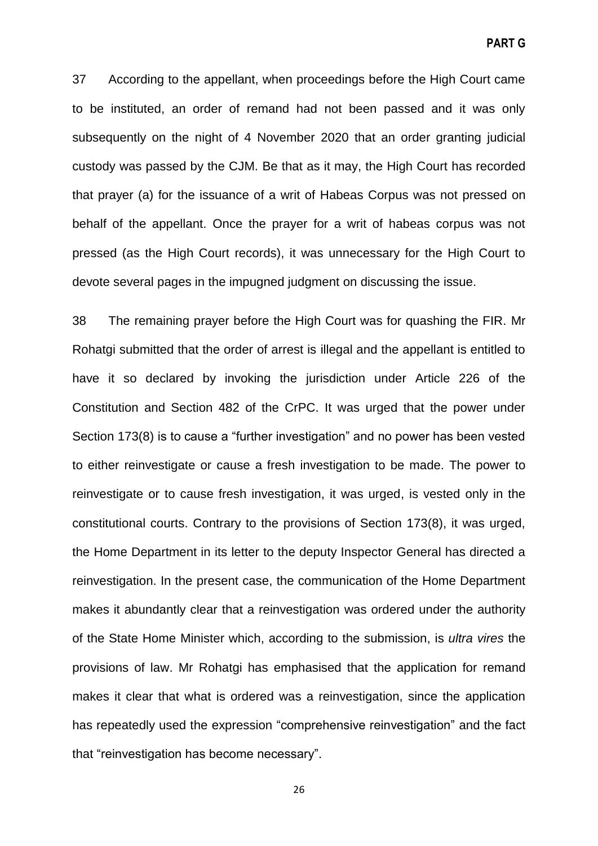**PART G**

37 According to the appellant, when proceedings before the High Court came to be instituted, an order of remand had not been passed and it was only subsequently on the night of 4 November 2020 that an order granting judicial custody was passed by the CJM. Be that as it may, the High Court has recorded that prayer (a) for the issuance of a writ of Habeas Corpus was not pressed on behalf of the appellant. Once the prayer for a writ of habeas corpus was not pressed (as the High Court records), it was unnecessary for the High Court to devote several pages in the impugned judgment on discussing the issue.

38 The remaining prayer before the High Court was for quashing the FIR. Mr Rohatgi submitted that the order of arrest is illegal and the appellant is entitled to have it so declared by invoking the jurisdiction under Article 226 of the Constitution and Section 482 of the CrPC. It was urged that the power under Section 173(8) is to cause a "further investigation" and no power has been vested to either reinvestigate or cause a fresh investigation to be made. The power to reinvestigate or to cause fresh investigation, it was urged, is vested only in the constitutional courts. Contrary to the provisions of Section 173(8), it was urged, the Home Department in its letter to the deputy Inspector General has directed a reinvestigation. In the present case, the communication of the Home Department makes it abundantly clear that a reinvestigation was ordered under the authority of the State Home Minister which, according to the submission, is *ultra vires* the provisions of law. Mr Rohatgi has emphasised that the application for remand makes it clear that what is ordered was a reinvestigation, since the application has repeatedly used the expression "comprehensive reinvestigation" and the fact that "reinvestigation has become necessary".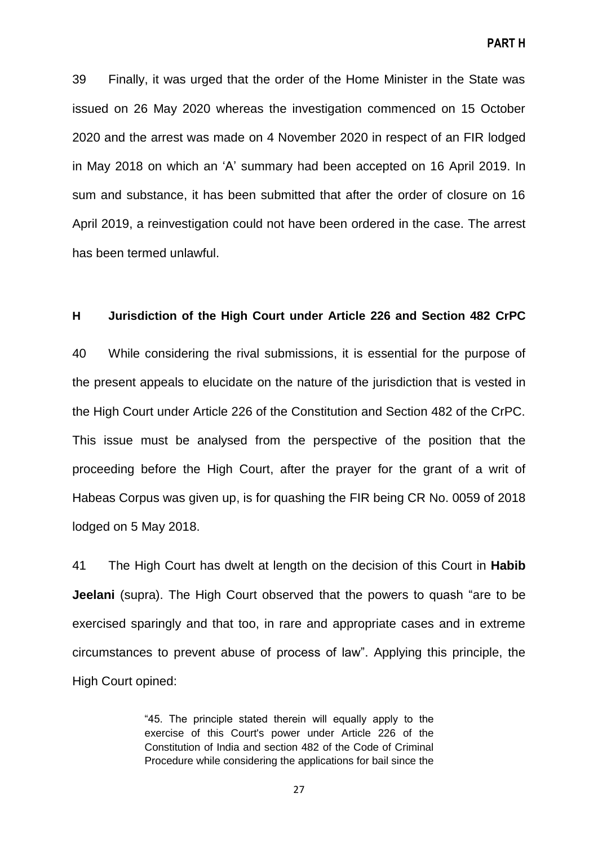**PART H**

39 Finally, it was urged that the order of the Home Minister in the State was issued on 26 May 2020 whereas the investigation commenced on 15 October 2020 and the arrest was made on 4 November 2020 in respect of an FIR lodged in May 2018 on which an 'A' summary had been accepted on 16 April 2019. In sum and substance, it has been submitted that after the order of closure on 16 April 2019, a reinvestigation could not have been ordered in the case. The arrest has been termed unlawful.

#### **H Jurisdiction of the High Court under Article 226 and Section 482 CrPC**

40 While considering the rival submissions, it is essential for the purpose of the present appeals to elucidate on the nature of the jurisdiction that is vested in the High Court under Article 226 of the Constitution and Section 482 of the CrPC. This issue must be analysed from the perspective of the position that the proceeding before the High Court, after the prayer for the grant of a writ of Habeas Corpus was given up, is for quashing the FIR being CR No. 0059 of 2018 lodged on 5 May 2018.

41 The High Court has dwelt at length on the decision of this Court in **Habib Jeelani** (supra). The High Court observed that the powers to quash "are to be exercised sparingly and that too, in rare and appropriate cases and in extreme circumstances to prevent abuse of process of law‖. Applying this principle, the High Court opined:

> ―45. The principle stated therein will equally apply to the exercise of this Court's power under Article 226 of the Constitution of India and section 482 of the Code of Criminal Procedure while considering the applications for bail since the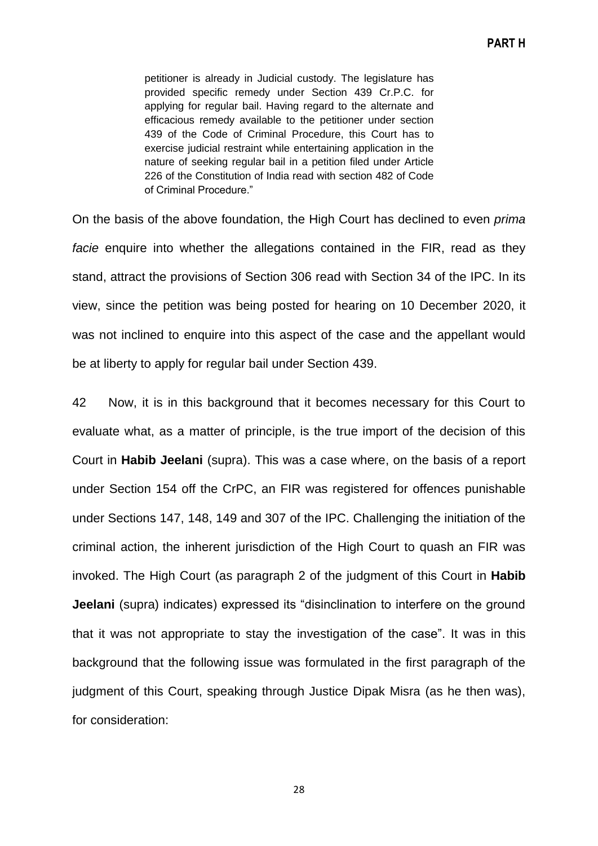petitioner is already in Judicial custody. The legislature has provided specific remedy under Section 439 Cr.P.C. for applying for regular bail. Having regard to the alternate and efficacious remedy available to the petitioner under section 439 of the Code of Criminal Procedure, this Court has to exercise judicial restraint while entertaining application in the nature of seeking regular bail in a petition filed under Article 226 of the Constitution of India read with section 482 of Code of Criminal Procedure."

On the basis of the above foundation, the High Court has declined to even *prima facie* enquire into whether the allegations contained in the FIR, read as they stand, attract the provisions of Section 306 read with Section 34 of the IPC. In its view, since the petition was being posted for hearing on 10 December 2020, it was not inclined to enquire into this aspect of the case and the appellant would be at liberty to apply for regular bail under Section 439.

42 Now, it is in this background that it becomes necessary for this Court to evaluate what, as a matter of principle, is the true import of the decision of this Court in **Habib Jeelani** (supra). This was a case where, on the basis of a report under Section 154 off the CrPC, an FIR was registered for offences punishable under Sections 147, 148, 149 and 307 of the IPC. Challenging the initiation of the criminal action, the inherent jurisdiction of the High Court to quash an FIR was invoked. The High Court (as paragraph 2 of the judgment of this Court in **Habib Jeelani** (supra) indicates) expressed its "disinclination to interfere on the ground that it was not appropriate to stay the investigation of the case". It was in this background that the following issue was formulated in the first paragraph of the judgment of this Court, speaking through Justice Dipak Misra (as he then was), for consideration: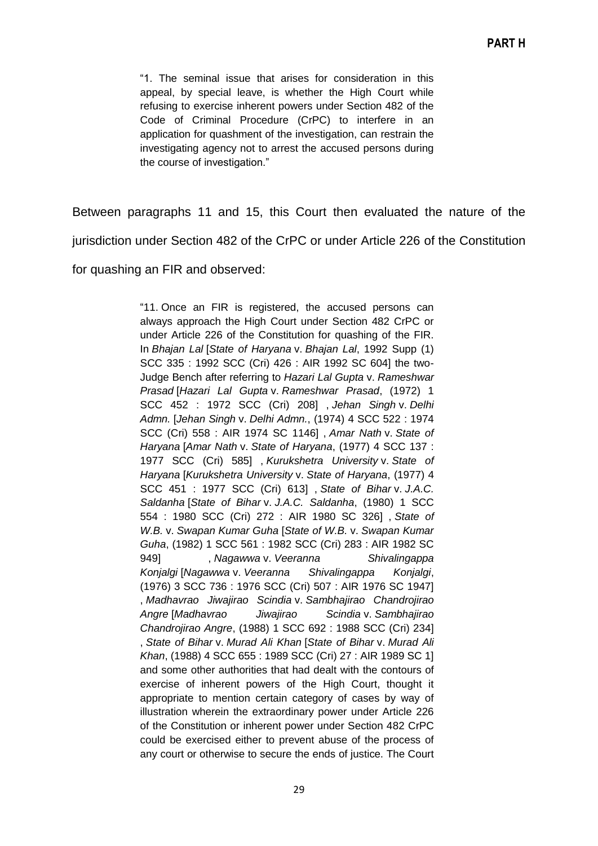―1. The seminal issue that arises for consideration in this appeal, by special leave, is whether the High Court while refusing to exercise inherent powers under Section 482 of the Code of Criminal Procedure (CrPC) to interfere in an application for quashment of the investigation, can restrain the investigating agency not to arrest the accused persons during the course of investigation."

Between paragraphs 11 and 15, this Court then evaluated the nature of the

jurisdiction under Section 482 of the CrPC or under Article 226 of the Constitution

for quashing an FIR and observed:

―11. Once an FIR is registered, the accused persons can always approach the High Court under Section 482 CrPC or under Article 226 of the Constitution for quashing of the FIR. In *Bhajan Lal* [*State of Haryana* v. *Bhajan Lal*, 1992 Supp (1) SCC 335 : 1992 SCC (Cri) 426 : AIR 1992 SC 604] the two-Judge Bench after referring to *Hazari Lal Gupta* v. *Rameshwar Prasad* [*Hazari Lal Gupta* v. *Rameshwar Prasad*, (1972) 1 SCC 452 : 1972 SCC (Cri) 208] , *Jehan Singh* v. *Delhi Admn.* [*Jehan Singh* v. *Delhi Admn.*, (1974) 4 SCC 522 : 1974 SCC (Cri) 558 : AIR 1974 SC 1146] , *Amar Nath* v. *State of Haryana* [*Amar Nath* v. *State of Haryana*, (1977) 4 SCC 137 : 1977 SCC (Cri) 585] , *Kurukshetra University* v. *State of Haryana* [*Kurukshetra University* v. *State of Haryana*, (1977) 4 SCC 451 : 1977 SCC (Cri) 613] , *State of Bihar* v. *J.A.C. Saldanha* [*State of Bihar* v. *J.A.C. Saldanha*, (1980) 1 SCC 554 : 1980 SCC (Cri) 272 : AIR 1980 SC 326] , *State of W.B.* v. *Swapan Kumar Guha* [*State of W.B.* v. *Swapan Kumar Guha*, (1982) 1 SCC 561 : 1982 SCC (Cri) 283 : AIR 1982 SC 949] , *Nagawwa* v. *Veeranna Shivalingappa Konjalgi* [*Nagawwa* v. *Veeranna Shivalingappa Konjalgi*, (1976) 3 SCC 736 : 1976 SCC (Cri) 507 : AIR 1976 SC 1947] , *Madhavrao Jiwajirao Scindia* v. *Sambhajirao Chandrojirao Angre* [*Madhavrao Jiwajirao Scindia* v. *Sambhajirao Chandrojirao Angre*, (1988) 1 SCC 692 : 1988 SCC (Cri) 234] , *State of Bihar* v. *Murad Ali Khan* [*State of Bihar* v. *Murad Ali Khan*, (1988) 4 SCC 655 : 1989 SCC (Cri) 27 : AIR 1989 SC 1] and some other authorities that had dealt with the contours of exercise of inherent powers of the High Court, thought it appropriate to mention certain category of cases by way of illustration wherein the extraordinary power under Article 226 of the Constitution or inherent power under Section 482 CrPC could be exercised either to prevent abuse of the process of any court or otherwise to secure the ends of justice. The Court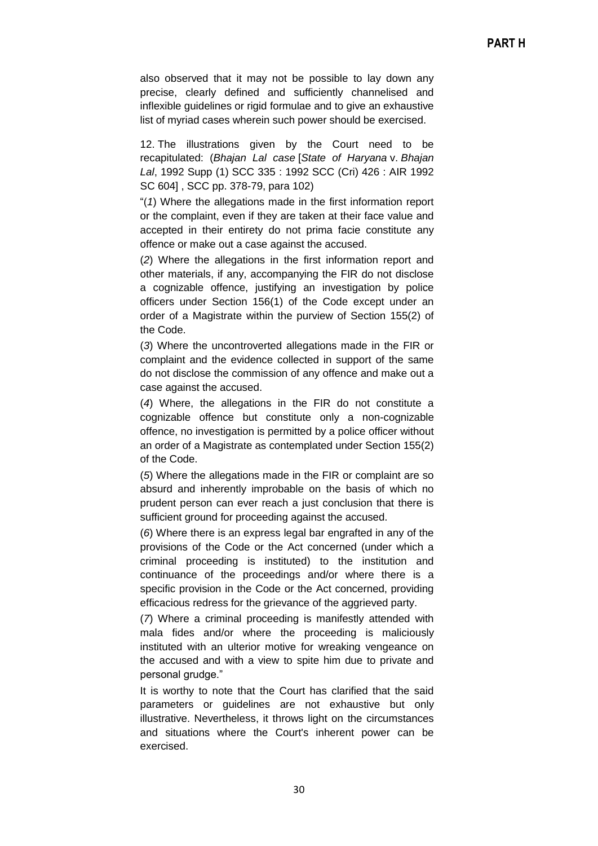also observed that it may not be possible to lay down any precise, clearly defined and sufficiently channelised and inflexible guidelines or rigid formulae and to give an exhaustive list of myriad cases wherein such power should be exercised.

12. The illustrations given by the Court need to be recapitulated: (*Bhajan Lal case* [*State of Haryana* v. *Bhajan Lal*, 1992 Supp (1) SCC 335 : 1992 SCC (Cri) 426 : AIR 1992 SC 604] , SCC pp. 378-79, para 102)

―(*1*) Where the allegations made in the first information report or the complaint, even if they are taken at their face value and accepted in their entirety do not prima facie constitute any offence or make out a case against the accused.

(*2*) Where the allegations in the first information report and other materials, if any, accompanying the FIR do not disclose a cognizable offence, justifying an investigation by police officers under Section 156(1) of the Code except under an order of a Magistrate within the purview of Section 155(2) of the Code.

(*3*) Where the uncontroverted allegations made in the FIR or complaint and the evidence collected in support of the same do not disclose the commission of any offence and make out a case against the accused.

(*4*) Where, the allegations in the FIR do not constitute a cognizable offence but constitute only a non-cognizable offence, no investigation is permitted by a police officer without an order of a Magistrate as contemplated under Section 155(2) of the Code.

(*5*) Where the allegations made in the FIR or complaint are so absurd and inherently improbable on the basis of which no prudent person can ever reach a just conclusion that there is sufficient ground for proceeding against the accused.

(*6*) Where there is an express legal bar engrafted in any of the provisions of the Code or the Act concerned (under which a criminal proceeding is instituted) to the institution and continuance of the proceedings and/or where there is a specific provision in the Code or the Act concerned, providing efficacious redress for the grievance of the aggrieved party.

(*7*) Where a criminal proceeding is manifestly attended with mala fides and/or where the proceeding is maliciously instituted with an ulterior motive for wreaking vengeance on the accused and with a view to spite him due to private and personal grudge."

It is worthy to note that the Court has clarified that the said parameters or guidelines are not exhaustive but only illustrative. Nevertheless, it throws light on the circumstances and situations where the Court's inherent power can be exercised.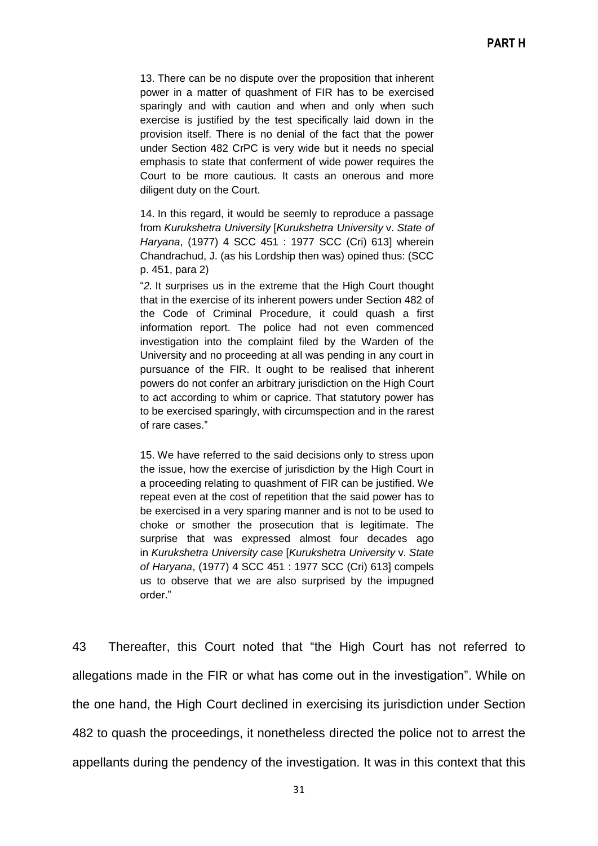13. There can be no dispute over the proposition that inherent power in a matter of quashment of FIR has to be exercised sparingly and with caution and when and only when such exercise is justified by the test specifically laid down in the provision itself. There is no denial of the fact that the power under Section 482 CrPC is very wide but it needs no special emphasis to state that conferment of wide power requires the Court to be more cautious. It casts an onerous and more diligent duty on the Court.

14. In this regard, it would be seemly to reproduce a passage from *Kurukshetra University* [*Kurukshetra University* v. *State of Haryana*, (1977) 4 SCC 451 : 1977 SCC (Cri) 613] wherein Chandrachud, J. (as his Lordship then was) opined thus: (SCC p. 451, para 2)

―*2.* It surprises us in the extreme that the High Court thought that in the exercise of its inherent powers under Section 482 of the Code of Criminal Procedure, it could quash a first information report. The police had not even commenced investigation into the complaint filed by the Warden of the University and no proceeding at all was pending in any court in pursuance of the FIR. It ought to be realised that inherent powers do not confer an arbitrary jurisdiction on the High Court to act according to whim or caprice. That statutory power has to be exercised sparingly, with circumspection and in the rarest of rare cases.‖

15. We have referred to the said decisions only to stress upon the issue, how the exercise of jurisdiction by the High Court in a proceeding relating to quashment of FIR can be justified. We repeat even at the cost of repetition that the said power has to be exercised in a very sparing manner and is not to be used to choke or smother the prosecution that is legitimate. The surprise that was expressed almost four decades ago in *Kurukshetra University case* [*Kurukshetra University* v. *State of Haryana*, (1977) 4 SCC 451 : 1977 SCC (Cri) 613] compels us to observe that we are also surprised by the impugned order."

43 Thereafter, this Court noted that "the High Court has not referred to allegations made in the FIR or what has come out in the investigation". While on the one hand, the High Court declined in exercising its jurisdiction under Section 482 to quash the proceedings, it nonetheless directed the police not to arrest the appellants during the pendency of the investigation. It was in this context that this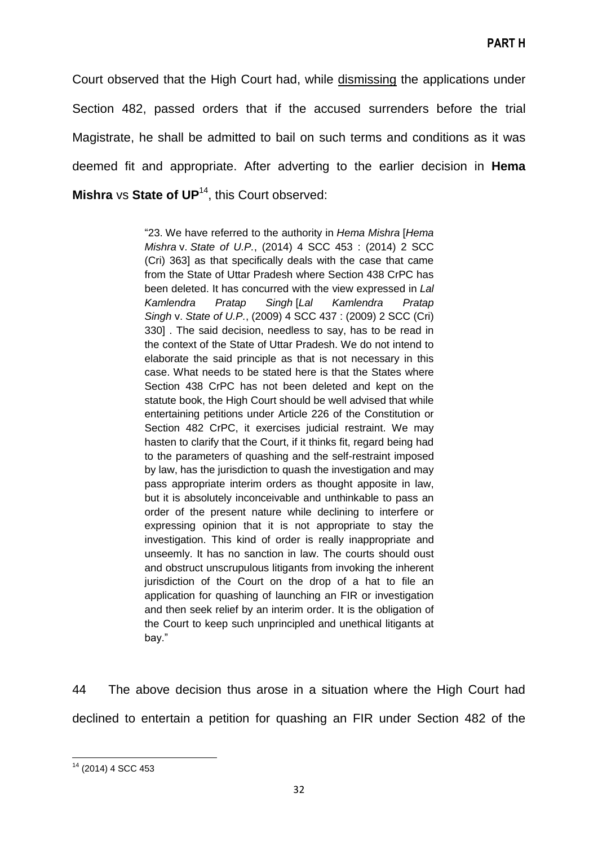Court observed that the High Court had, while dismissing the applications under Section 482, passed orders that if the accused surrenders before the trial Magistrate, he shall be admitted to bail on such terms and conditions as it was deemed fit and appropriate. After adverting to the earlier decision in **Hema Mishra** vs **State of UP<sup>14</sup>, this Court observed:** 

> ―23. We have referred to the authority in *Hema Mishra* [*Hema Mishra* v. *State of U.P.*, (2014) 4 SCC 453 : (2014) 2 SCC (Cri) 363] as that specifically deals with the case that came from the State of Uttar Pradesh where Section 438 CrPC has been deleted. It has concurred with the view expressed in *Lal Kamlendra Pratap Singh* [*Lal Kamlendra Pratap Singh* v. *State of U.P.*, (2009) 4 SCC 437 : (2009) 2 SCC (Cri) 330] . The said decision, needless to say, has to be read in the context of the State of Uttar Pradesh. We do not intend to elaborate the said principle as that is not necessary in this case. What needs to be stated here is that the States where Section 438 CrPC has not been deleted and kept on the statute book, the High Court should be well advised that while entertaining petitions under Article 226 of the Constitution or Section 482 CrPC, it exercises judicial restraint. We may hasten to clarify that the Court, if it thinks fit, regard being had to the parameters of quashing and the self-restraint imposed by law, has the jurisdiction to quash the investigation and may pass appropriate interim orders as thought apposite in law, but it is absolutely inconceivable and unthinkable to pass an order of the present nature while declining to interfere or expressing opinion that it is not appropriate to stay the investigation. This kind of order is really inappropriate and unseemly. It has no sanction in law. The courts should oust and obstruct unscrupulous litigants from invoking the inherent jurisdiction of the Court on the drop of a hat to file an application for quashing of launching an FIR or investigation and then seek relief by an interim order. It is the obligation of the Court to keep such unprincipled and unethical litigants at bay."

44 The above decision thus arose in a situation where the High Court had declined to entertain a petition for quashing an FIR under Section 482 of the

**<sup>.</sup>** <sup>14</sup> (2014) 4 SCC 453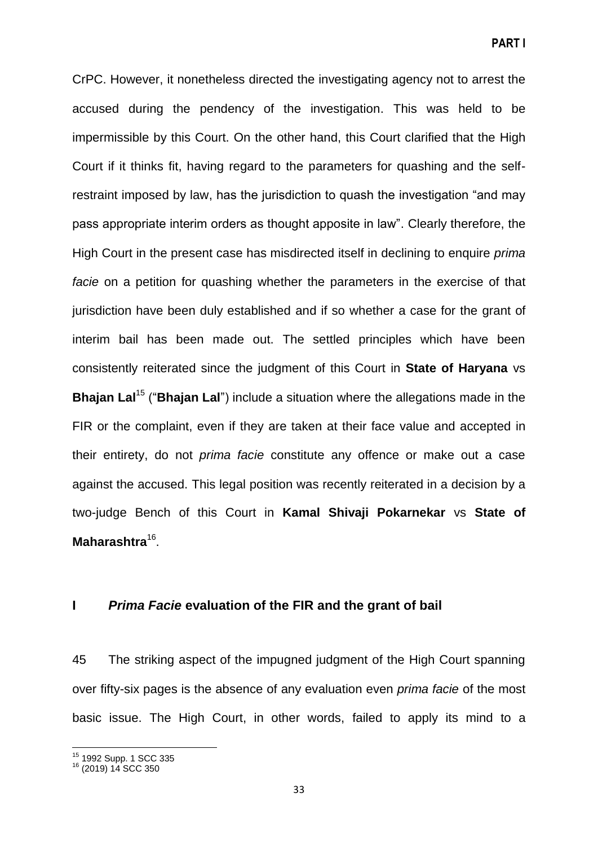CrPC. However, it nonetheless directed the investigating agency not to arrest the accused during the pendency of the investigation. This was held to be impermissible by this Court. On the other hand, this Court clarified that the High Court if it thinks fit, having regard to the parameters for quashing and the selfrestraint imposed by law, has the jurisdiction to quash the investigation "and may pass appropriate interim orders as thought apposite in law‖. Clearly therefore, the High Court in the present case has misdirected itself in declining to enquire *prima facie* on a petition for quashing whether the parameters in the exercise of that jurisdiction have been duly established and if so whether a case for the grant of interim bail has been made out. The settled principles which have been consistently reiterated since the judgment of this Court in **State of Haryana** vs **Bhajan Lal<sup>15</sup>** ("**Bhajan Lal**") include a situation where the allegations made in the FIR or the complaint, even if they are taken at their face value and accepted in their entirety, do not *prima facie* constitute any offence or make out a case against the accused. This legal position was recently reiterated in a decision by a two-judge Bench of this Court in **Kamal Shivaji Pokarnekar** vs **State of**  Maharashtra<sup>16</sup>.

#### **I** *Prima Facie* **evaluation of the FIR and the grant of bail**

45 The striking aspect of the impugned judgment of the High Court spanning over fifty-six pages is the absence of any evaluation even *prima facie* of the most basic issue. The High Court, in other words, failed to apply its mind to a

 $\overline{a}$ <sup>15</sup> 1992 Supp. 1 SCC 335

<sup>16</sup> (2019) 14 SCC 350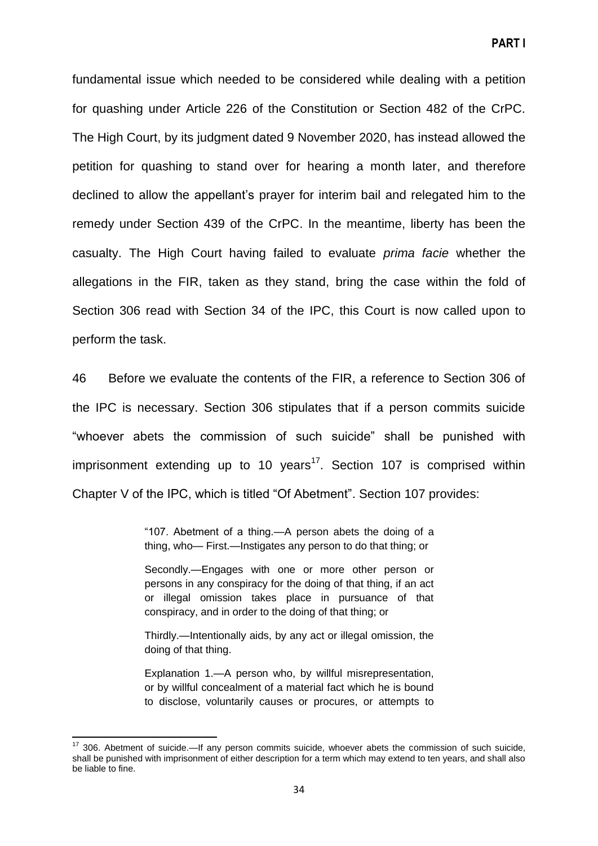fundamental issue which needed to be considered while dealing with a petition for quashing under Article 226 of the Constitution or Section 482 of the CrPC. The High Court, by its judgment dated 9 November 2020, has instead allowed the petition for quashing to stand over for hearing a month later, and therefore declined to allow the appellant's prayer for interim bail and relegated him to the remedy under Section 439 of the CrPC. In the meantime, liberty has been the casualty. The High Court having failed to evaluate *prima facie* whether the allegations in the FIR, taken as they stand, bring the case within the fold of Section 306 read with Section 34 of the IPC, this Court is now called upon to perform the task.

46 Before we evaluate the contents of the FIR, a reference to Section 306 of the IPC is necessary. Section 306 stipulates that if a person commits suicide "whoever abets the commission of such suicide" shall be punished with imprisonment extending up to 10 years<sup>17</sup>. Section 107 is comprised within Chapter V of the IPC, which is titled "Of Abetment". Section 107 provides:

> ―107. Abetment of a thing.—A person abets the doing of a thing, who— First.—Instigates any person to do that thing; or

> Secondly.—Engages with one or more other person or persons in any conspiracy for the doing of that thing, if an act or illegal omission takes place in pursuance of that conspiracy, and in order to the doing of that thing; or

> Thirdly.—Intentionally aids, by any act or illegal omission, the doing of that thing.

> Explanation 1.—A person who, by willful misrepresentation, or by willful concealment of a material fact which he is bound to disclose, voluntarily causes or procures, or attempts to

**.** 

 $17$  306. Abetment of suicide.—If any person commits suicide, whoever abets the commission of such suicide, shall be punished with imprisonment of either description for a term which may extend to ten years, and shall also be liable to fine.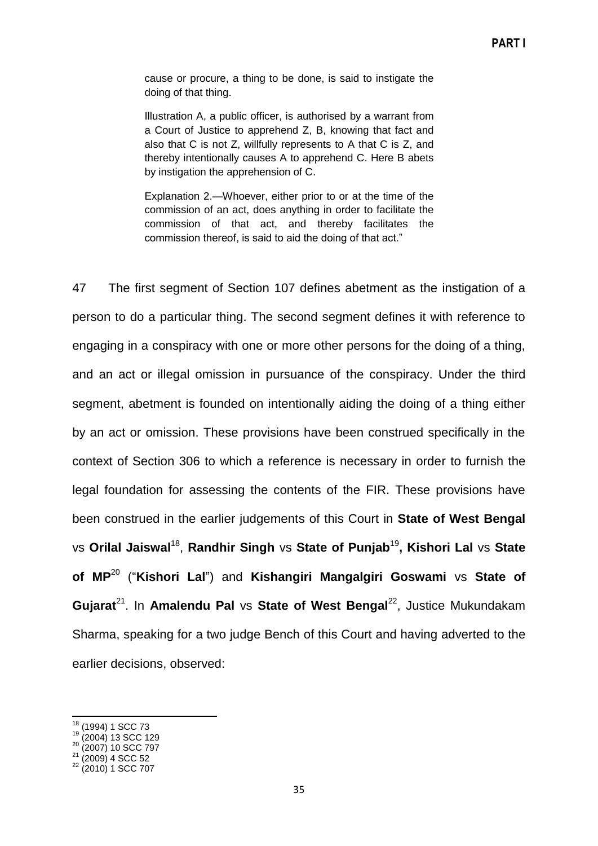cause or procure, a thing to be done, is said to instigate the doing of that thing.

Illustration A, a public officer, is authorised by a warrant from a Court of Justice to apprehend Z, B, knowing that fact and also that C is not Z, willfully represents to A that C is Z, and thereby intentionally causes A to apprehend C. Here B abets by instigation the apprehension of C.

Explanation 2.—Whoever, either prior to or at the time of the commission of an act, does anything in order to facilitate the commission of that act, and thereby facilitates the commission thereof, is said to aid the doing of that act."

47 The first segment of Section 107 defines abetment as the instigation of a person to do a particular thing. The second segment defines it with reference to engaging in a conspiracy with one or more other persons for the doing of a thing, and an act or illegal omission in pursuance of the conspiracy. Under the third segment, abetment is founded on intentionally aiding the doing of a thing either by an act or omission. These provisions have been construed specifically in the context of Section 306 to which a reference is necessary in order to furnish the legal foundation for assessing the contents of the FIR. These provisions have been construed in the earlier judgements of this Court in **State of West Bengal** vs **Orilal Jaiswal**<sup>18</sup> , **Randhir Singh** vs **State of Punjab**<sup>19</sup> **, Kishori Lal** vs **State of MP**<sup>20</sup> (―**Kishori Lal**‖) and **Kishangiri Mangalgiri Goswami** vs **State of**  Gujarat<sup>21</sup>. In Amalendu Pal vs State of West Bengal<sup>22</sup>, Justice Mukundakam Sharma, speaking for a two judge Bench of this Court and having adverted to the earlier decisions, observed:

 $\overline{a}$ 

 $18$  (1994) 1 SCC 73

<sup>19</sup> (2004) 13 SCC 129

<sup>20</sup> (2007) 10 SCC 797

 $21$  (2009) 4 SCC 52

<sup>22</sup> (2010) 1 SCC 707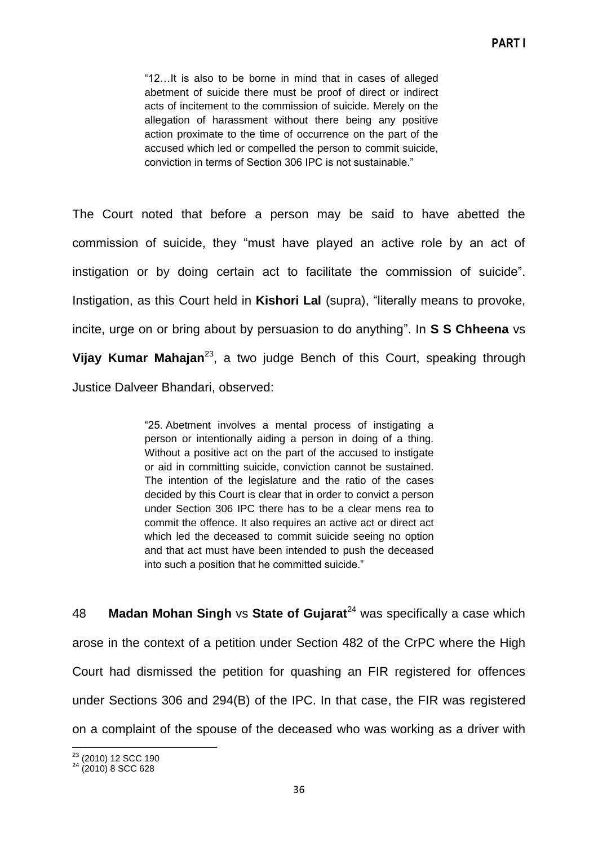―12…It is also to be borne in mind that in cases of alleged abetment of suicide there must be proof of direct or indirect acts of incitement to the commission of suicide. Merely on the allegation of harassment without there being any positive action proximate to the time of occurrence on the part of the accused which led or compelled the person to commit suicide, conviction in terms of Section 306 IPC is not sustainable."

The Court noted that before a person may be said to have abetted the commission of suicide, they "must have played an active role by an act of instigation or by doing certain act to facilitate the commission of suicide". Instigation, as this Court held in **Kishori Lal** (supra), "literally means to provoke, incite, urge on or bring about by persuasion to do anything‖. In **S S Chheena** vs Vijay Kumar Mahajan<sup>23</sup>, a two judge Bench of this Court, speaking through Justice Dalveer Bhandari, observed:

> ―25. Abetment involves a mental process of instigating a person or intentionally aiding a person in doing of a thing. Without a positive act on the part of the accused to instigate or aid in committing suicide, conviction cannot be sustained. The intention of the legislature and the ratio of the cases decided by this Court is clear that in order to convict a person under Section 306 IPC there has to be a clear mens rea to commit the offence. It also requires an active act or direct act which led the deceased to commit suicide seeing no option and that act must have been intended to push the deceased into such a position that he committed suicide."

48 **Madan Mohan Singh** vs **State of Gujarat**<sup>24</sup> was specifically a case which arose in the context of a petition under Section 482 of the CrPC where the High Court had dismissed the petition for quashing an FIR registered for offences under Sections 306 and 294(B) of the IPC. In that case, the FIR was registered on a complaint of the spouse of the deceased who was working as a driver with

 $\overline{\phantom{a}}$  $^{23}$  (2010) 12 SCC 190

 $24$  (2010) 8 SCC 628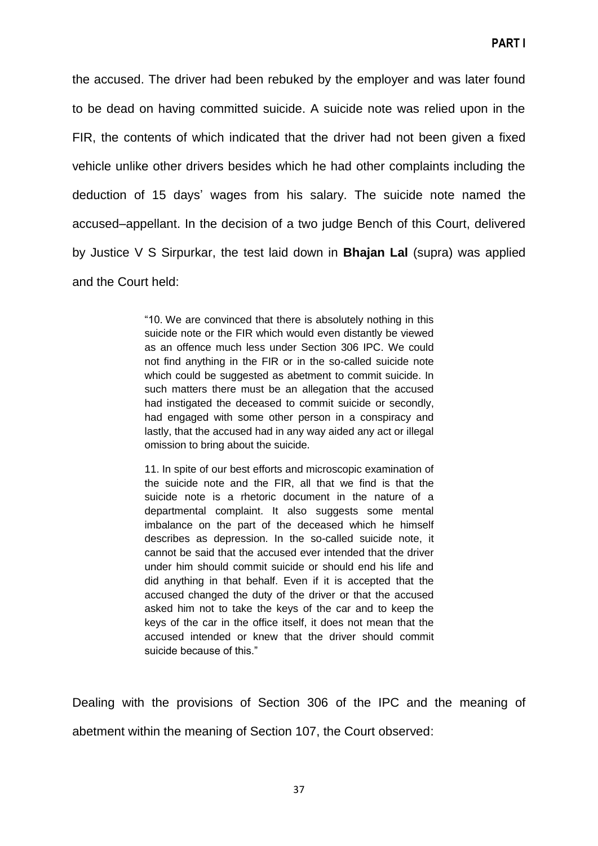the accused. The driver had been rebuked by the employer and was later found to be dead on having committed suicide. A suicide note was relied upon in the FIR, the contents of which indicated that the driver had not been given a fixed vehicle unlike other drivers besides which he had other complaints including the deduction of 15 days' wages from his salary. The suicide note named the accused–appellant. In the decision of a two judge Bench of this Court, delivered by Justice V S Sirpurkar, the test laid down in **Bhajan Lal** (supra) was applied and the Court held:

> ―10. We are convinced that there is absolutely nothing in this suicide note or the FIR which would even distantly be viewed as an offence much less under Section 306 IPC. We could not find anything in the FIR or in the so-called suicide note which could be suggested as abetment to commit suicide. In such matters there must be an allegation that the accused had instigated the deceased to commit suicide or secondly, had engaged with some other person in a conspiracy and lastly, that the accused had in any way aided any act or illegal omission to bring about the suicide.

> 11. In spite of our best efforts and microscopic examination of the suicide note and the FIR, all that we find is that the suicide note is a rhetoric document in the nature of a departmental complaint. It also suggests some mental imbalance on the part of the deceased which he himself describes as depression. In the so-called suicide note, it cannot be said that the accused ever intended that the driver under him should commit suicide or should end his life and did anything in that behalf. Even if it is accepted that the accused changed the duty of the driver or that the accused asked him not to take the keys of the car and to keep the keys of the car in the office itself, it does not mean that the accused intended or knew that the driver should commit suicide because of this."

Dealing with the provisions of Section 306 of the IPC and the meaning of abetment within the meaning of Section 107, the Court observed: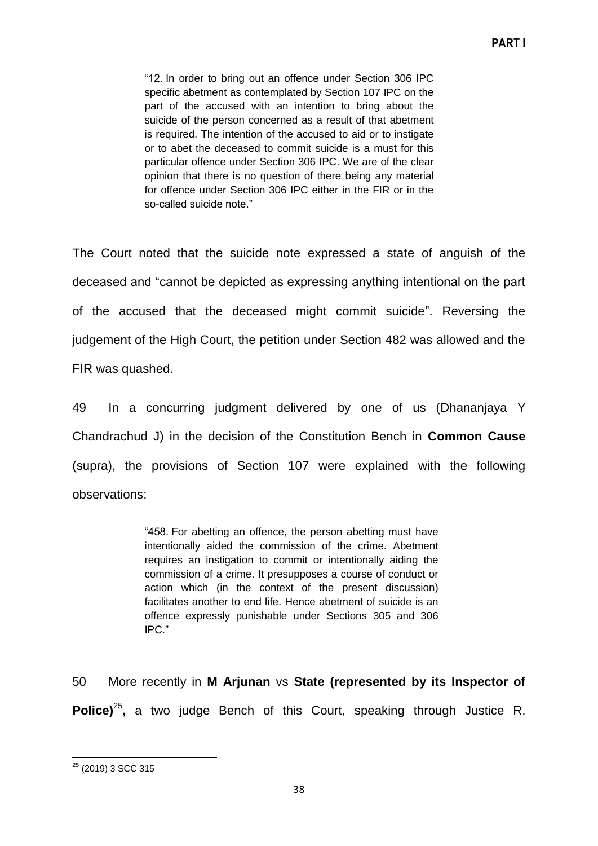―12. In order to bring out an offence under Section 306 IPC specific abetment as contemplated by Section 107 IPC on the part of the accused with an intention to bring about the suicide of the person concerned as a result of that abetment is required. The intention of the accused to aid or to instigate or to abet the deceased to commit suicide is a must for this particular offence under Section 306 IPC. We are of the clear opinion that there is no question of there being any material for offence under Section 306 IPC either in the FIR or in the so-called suicide note."

The Court noted that the suicide note expressed a state of anguish of the deceased and "cannot be depicted as expressing anything intentional on the part of the accused that the deceased might commit suicide‖. Reversing the judgement of the High Court, the petition under Section 482 was allowed and the FIR was quashed.

49 In a concurring judgment delivered by one of us (Dhananjaya Y Chandrachud J) in the decision of the Constitution Bench in **Common Cause** (supra), the provisions of Section 107 were explained with the following observations:

> ―458. For abetting an offence, the person abetting must have intentionally aided the commission of the crime. Abetment requires an instigation to commit or intentionally aiding the commission of a crime. It presupposes a course of conduct or action which (in the context of the present discussion) facilitates another to end life. Hence abetment of suicide is an offence expressly punishable under Sections 305 and 306 IPC.‖

50 More recently in **M Arjunan** vs **State (represented by its Inspector of**  Police)<sup>25</sup>, a two judge Bench of this Court, speaking through Justice R.

**<sup>.</sup>** <sup>25</sup> (2019) 3 SCC 315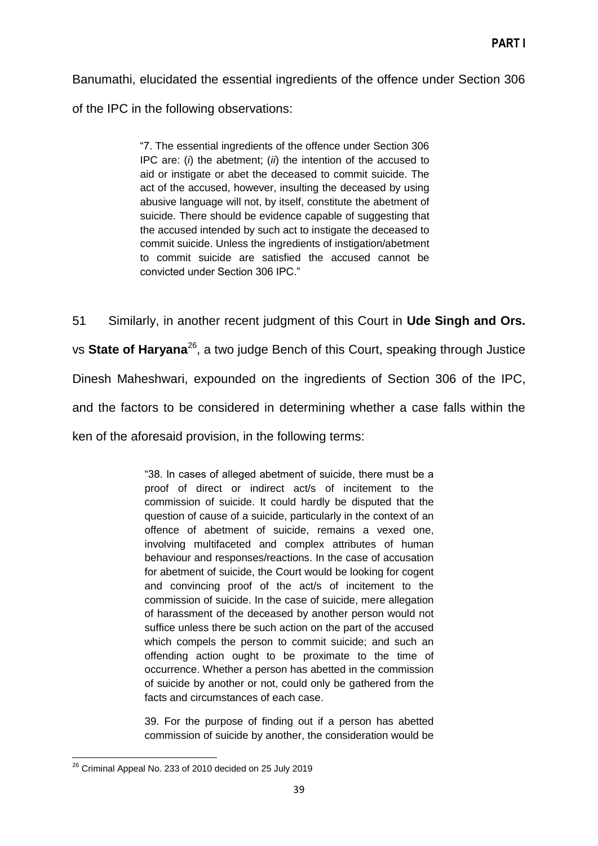Banumathi, elucidated the essential ingredients of the offence under Section 306 of the IPC in the following observations:

> ―7. The essential ingredients of the offence under Section 306 IPC are: (*i*) the abetment; (*ii*) the intention of the accused to aid or instigate or abet the deceased to commit suicide. The act of the accused, however, insulting the deceased by using abusive language will not, by itself, constitute the abetment of suicide. There should be evidence capable of suggesting that the accused intended by such act to instigate the deceased to commit suicide. Unless the ingredients of instigation/abetment to commit suicide are satisfied the accused cannot be convicted under Section 306 IPC."

51 Similarly, in another recent judgment of this Court in **Ude Singh and Ors.** vs State of Haryana<sup>26</sup>, a two judge Bench of this Court, speaking through Justice Dinesh Maheshwari, expounded on the ingredients of Section 306 of the IPC, and the factors to be considered in determining whether a case falls within the ken of the aforesaid provision, in the following terms:

> ―38. In cases of alleged abetment of suicide, there must be a proof of direct or indirect act/s of incitement to the commission of suicide. It could hardly be disputed that the question of cause of a suicide, particularly in the context of an offence of abetment of suicide, remains a vexed one, involving multifaceted and complex attributes of human behaviour and responses/reactions. In the case of accusation for abetment of suicide, the Court would be looking for cogent and convincing proof of the act/s of incitement to the commission of suicide. In the case of suicide, mere allegation of harassment of the deceased by another person would not suffice unless there be such action on the part of the accused which compels the person to commit suicide; and such an offending action ought to be proximate to the time of occurrence. Whether a person has abetted in the commission of suicide by another or not, could only be gathered from the facts and circumstances of each case.

> 39. For the purpose of finding out if a person has abetted commission of suicide by another, the consideration would be

**.** 

 $^{26}$  Criminal Appeal No. 233 of 2010 decided on 25 July 2019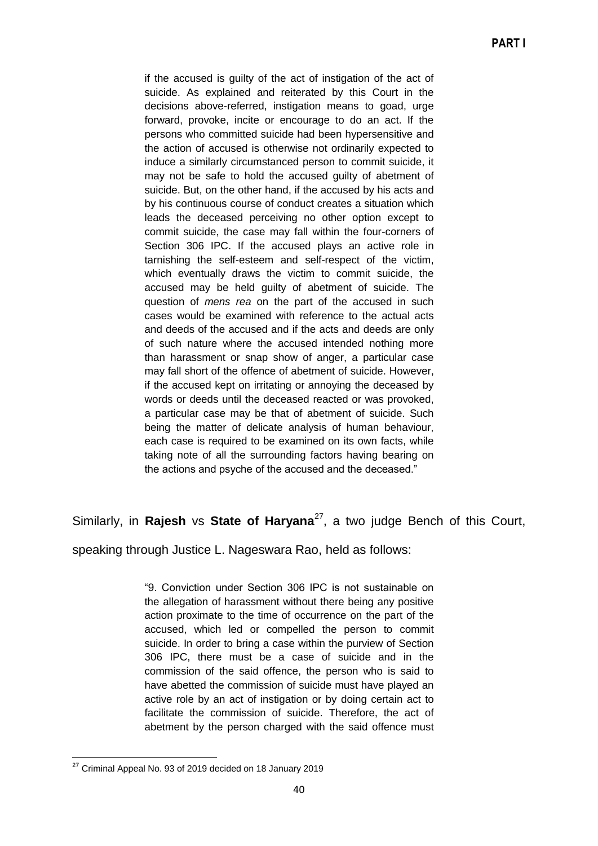if the accused is guilty of the act of instigation of the act of suicide. As explained and reiterated by this Court in the decisions above-referred, instigation means to goad, urge forward, provoke, incite or encourage to do an act. If the persons who committed suicide had been hypersensitive and the action of accused is otherwise not ordinarily expected to induce a similarly circumstanced person to commit suicide, it may not be safe to hold the accused guilty of abetment of suicide. But, on the other hand, if the accused by his acts and by his continuous course of conduct creates a situation which leads the deceased perceiving no other option except to commit suicide, the case may fall within the four-corners of Section 306 IPC. If the accused plays an active role in tarnishing the self-esteem and self-respect of the victim, which eventually draws the victim to commit suicide, the accused may be held guilty of abetment of suicide. The question of *mens rea* on the part of the accused in such cases would be examined with reference to the actual acts and deeds of the accused and if the acts and deeds are only of such nature where the accused intended nothing more than harassment or snap show of anger, a particular case may fall short of the offence of abetment of suicide. However, if the accused kept on irritating or annoying the deceased by words or deeds until the deceased reacted or was provoked, a particular case may be that of abetment of suicide. Such being the matter of delicate analysis of human behaviour, each case is required to be examined on its own facts, while taking note of all the surrounding factors having bearing on the actions and psyche of the accused and the deceased."

Similarly, in **Rajesh** vs **State of Haryana**<sup>27</sup>, a two judge Bench of this Court,

speaking through Justice L. Nageswara Rao, held as follows:

―9. Conviction under Section 306 IPC is not sustainable on the allegation of harassment without there being any positive action proximate to the time of occurrence on the part of the accused, which led or compelled the person to commit suicide. In order to bring a case within the purview of Section 306 IPC, there must be a case of suicide and in the commission of the said offence, the person who is said to have abetted the commission of suicide must have played an active role by an act of instigation or by doing certain act to facilitate the commission of suicide. Therefore, the act of abetment by the person charged with the said offence must

**<sup>.</sup>**  $27$  Criminal Appeal No. 93 of 2019 decided on 18 January 2019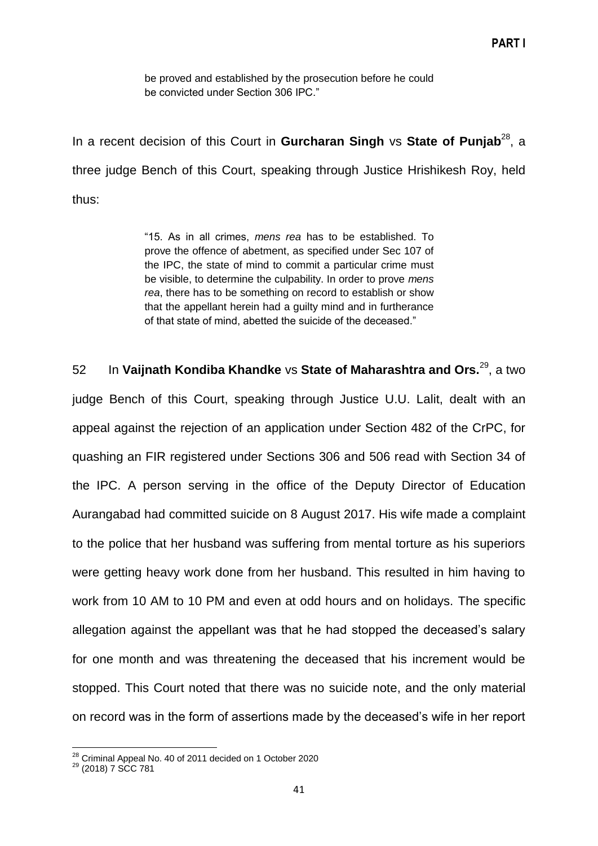be proved and established by the prosecution before he could be convicted under Section 306 IPC."

In a recent decision of this Court in Gurcharan Singh vs State of Punjab<sup>28</sup>, a three judge Bench of this Court, speaking through Justice Hrishikesh Roy, held thus:

> ―15. As in all crimes, *mens rea* has to be established. To prove the offence of abetment, as specified under Sec 107 of the IPC, the state of mind to commit a particular crime must be visible, to determine the culpability. In order to prove *mens rea*, there has to be something on record to establish or show that the appellant herein had a guilty mind and in furtherance of that state of mind, abetted the suicide of the deceased."

52 In **Vaijnath Kondiba Khandke** vs **State of Maharashtra and Ors.**<sup>29</sup> , a two judge Bench of this Court, speaking through Justice U.U. Lalit, dealt with an appeal against the rejection of an application under Section 482 of the CrPC, for quashing an FIR registered under Sections 306 and 506 read with Section 34 of the IPC. A person serving in the office of the Deputy Director of Education Aurangabad had committed suicide on 8 August 2017. His wife made a complaint to the police that her husband was suffering from mental torture as his superiors were getting heavy work done from her husband. This resulted in him having to work from 10 AM to 10 PM and even at odd hours and on holidays. The specific allegation against the appellant was that he had stopped the deceased's salary for one month and was threatening the deceased that his increment would be stopped. This Court noted that there was no suicide note, and the only material on record was in the form of assertions made by the deceased's wife in her report

 $\overline{\phantom{a}}$  $28$  Criminal Appeal No. 40 of 2011 decided on 1 October 2020

<sup>&</sup>lt;sup>29</sup> (2018) 7 SCC 781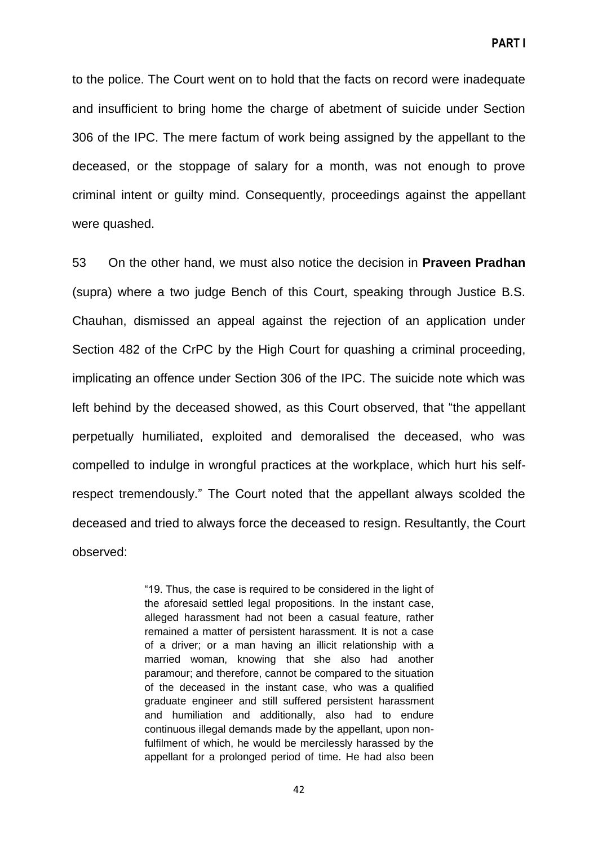to the police. The Court went on to hold that the facts on record were inadequate and insufficient to bring home the charge of abetment of suicide under Section 306 of the IPC. The mere factum of work being assigned by the appellant to the deceased, or the stoppage of salary for a month, was not enough to prove criminal intent or guilty mind. Consequently, proceedings against the appellant were quashed.

53 On the other hand, we must also notice the decision in **Praveen Pradhan** (supra) where a two judge Bench of this Court, speaking through Justice B.S. Chauhan, dismissed an appeal against the rejection of an application under Section 482 of the CrPC by the High Court for quashing a criminal proceeding, implicating an offence under Section 306 of the IPC. The suicide note which was left behind by the deceased showed, as this Court observed, that "the appellant perpetually humiliated, exploited and demoralised the deceased, who was compelled to indulge in wrongful practices at the workplace, which hurt his selfrespect tremendously." The Court noted that the appellant always scolded the deceased and tried to always force the deceased to resign. Resultantly, the Court observed:

> ―19. Thus, the case is required to be considered in the light of the aforesaid settled legal propositions. In the instant case, alleged harassment had not been a casual feature, rather remained a matter of persistent harassment. It is not a case of a driver; or a man having an illicit relationship with a married woman, knowing that she also had another paramour; and therefore, cannot be compared to the situation of the deceased in the instant case, who was a qualified graduate engineer and still suffered persistent harassment and humiliation and additionally, also had to endure continuous illegal demands made by the appellant, upon nonfulfilment of which, he would be mercilessly harassed by the appellant for a prolonged period of time. He had also been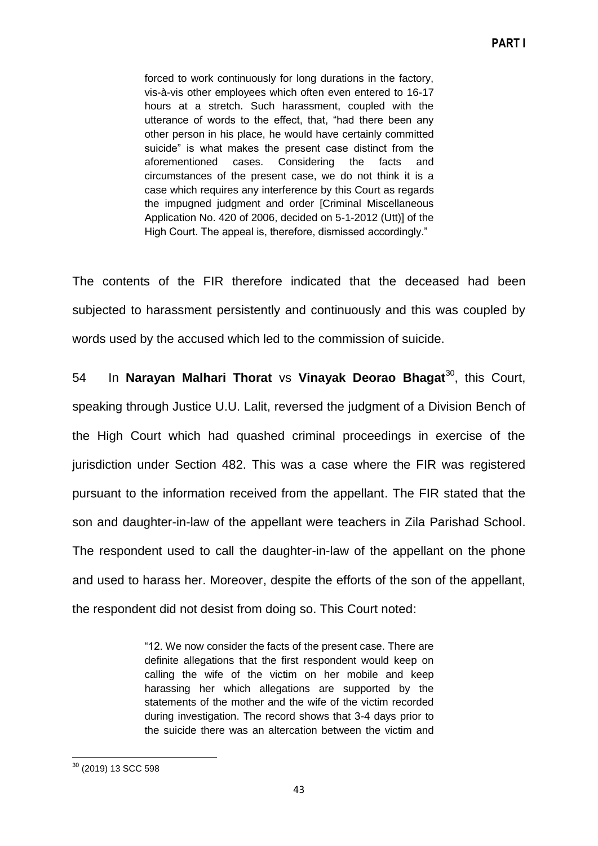forced to work continuously for long durations in the factory, vis-à-vis other employees which often even entered to 16-17 hours at a stretch. Such harassment, coupled with the utterance of words to the effect, that, "had there been any other person in his place, he would have certainly committed suicide" is what makes the present case distinct from the aforementioned cases. Considering the facts and circumstances of the present case, we do not think it is a case which requires any interference by this Court as regards the impugned judgment and order [Criminal Miscellaneous Application No. 420 of 2006, decided on 5-1-2012 (Utt)] of the High Court. The appeal is, therefore, dismissed accordingly."

The contents of the FIR therefore indicated that the deceased had been subjected to harassment persistently and continuously and this was coupled by words used by the accused which led to the commission of suicide.

54 In **Narayan Malhari Thorat** vs **Vinayak Deorao Bhagat**<sup>30</sup>, this Court, speaking through Justice U.U. Lalit, reversed the judgment of a Division Bench of the High Court which had quashed criminal proceedings in exercise of the jurisdiction under Section 482. This was a case where the FIR was registered pursuant to the information received from the appellant. The FIR stated that the son and daughter-in-law of the appellant were teachers in Zila Parishad School. The respondent used to call the daughter-in-law of the appellant on the phone and used to harass her. Moreover, despite the efforts of the son of the appellant, the respondent did not desist from doing so. This Court noted:

> ―12. We now consider the facts of the present case. There are definite allegations that the first respondent would keep on calling the wife of the victim on her mobile and keep harassing her which allegations are supported by the statements of the mother and the wife of the victim recorded during investigation. The record shows that 3-4 days prior to the suicide there was an altercation between the victim and

**<sup>.</sup>**  $30$  (2019) 13 SCC 598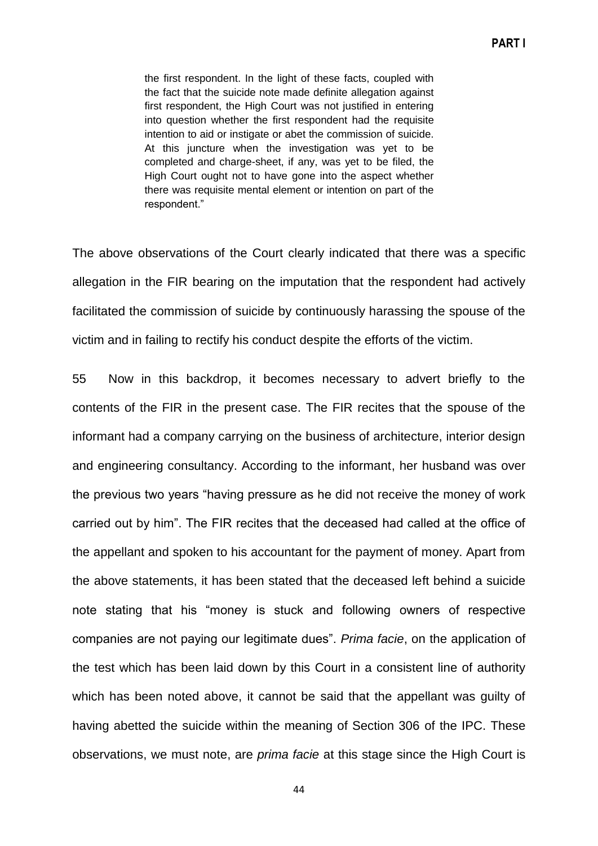the first respondent. In the light of these facts, coupled with the fact that the suicide note made definite allegation against first respondent, the High Court was not justified in entering into question whether the first respondent had the requisite intention to aid or instigate or abet the commission of suicide. At this juncture when the investigation was yet to be completed and charge-sheet, if any, was yet to be filed, the High Court ought not to have gone into the aspect whether there was requisite mental element or intention on part of the respondent.‖

The above observations of the Court clearly indicated that there was a specific allegation in the FIR bearing on the imputation that the respondent had actively facilitated the commission of suicide by continuously harassing the spouse of the victim and in failing to rectify his conduct despite the efforts of the victim.

55 Now in this backdrop, it becomes necessary to advert briefly to the contents of the FIR in the present case. The FIR recites that the spouse of the informant had a company carrying on the business of architecture, interior design and engineering consultancy. According to the informant, her husband was over the previous two years "having pressure as he did not receive the money of work carried out by him". The FIR recites that the deceased had called at the office of the appellant and spoken to his accountant for the payment of money. Apart from the above statements, it has been stated that the deceased left behind a suicide note stating that his "money is stuck and following owners of respective companies are not paying our legitimate dues‖. *Prima facie*, on the application of the test which has been laid down by this Court in a consistent line of authority which has been noted above, it cannot be said that the appellant was guilty of having abetted the suicide within the meaning of Section 306 of the IPC. These observations, we must note, are *prima facie* at this stage since the High Court is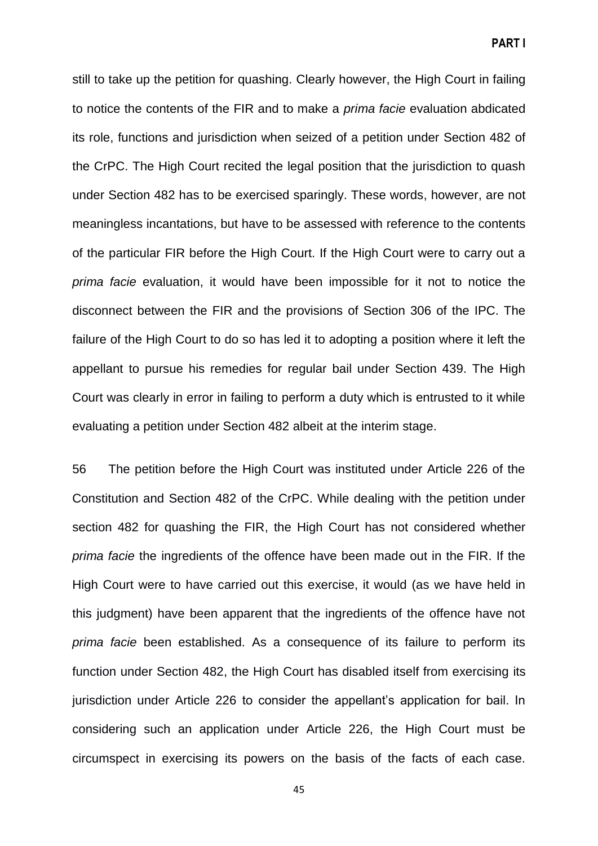still to take up the petition for quashing. Clearly however, the High Court in failing to notice the contents of the FIR and to make a *prima facie* evaluation abdicated its role, functions and jurisdiction when seized of a petition under Section 482 of the CrPC. The High Court recited the legal position that the jurisdiction to quash under Section 482 has to be exercised sparingly. These words, however, are not meaningless incantations, but have to be assessed with reference to the contents of the particular FIR before the High Court. If the High Court were to carry out a *prima facie* evaluation, it would have been impossible for it not to notice the disconnect between the FIR and the provisions of Section 306 of the IPC. The failure of the High Court to do so has led it to adopting a position where it left the appellant to pursue his remedies for regular bail under Section 439. The High Court was clearly in error in failing to perform a duty which is entrusted to it while evaluating a petition under Section 482 albeit at the interim stage.

56 The petition before the High Court was instituted under Article 226 of the Constitution and Section 482 of the CrPC. While dealing with the petition under section 482 for quashing the FIR, the High Court has not considered whether *prima facie* the ingredients of the offence have been made out in the FIR. If the High Court were to have carried out this exercise, it would (as we have held in this judgment) have been apparent that the ingredients of the offence have not *prima facie* been established. As a consequence of its failure to perform its function under Section 482, the High Court has disabled itself from exercising its jurisdiction under Article 226 to consider the appellant's application for bail. In considering such an application under Article 226, the High Court must be circumspect in exercising its powers on the basis of the facts of each case.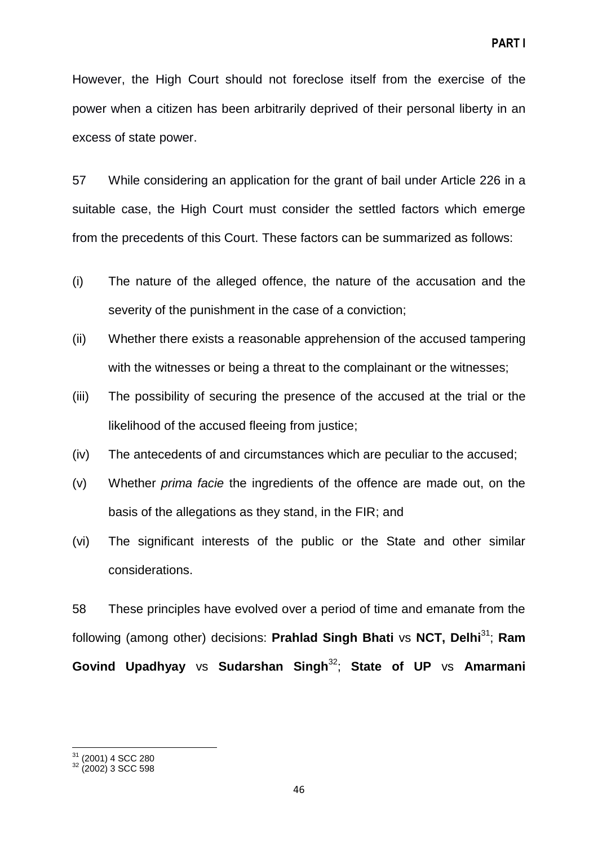However, the High Court should not foreclose itself from the exercise of the power when a citizen has been arbitrarily deprived of their personal liberty in an excess of state power.

57 While considering an application for the grant of bail under Article 226 in a suitable case, the High Court must consider the settled factors which emerge from the precedents of this Court. These factors can be summarized as follows:

- (i) The nature of the alleged offence, the nature of the accusation and the severity of the punishment in the case of a conviction;
- (ii) Whether there exists a reasonable apprehension of the accused tampering with the witnesses or being a threat to the complainant or the witnesses;
- (iii) The possibility of securing the presence of the accused at the trial or the likelihood of the accused fleeing from justice;
- (iv) The antecedents of and circumstances which are peculiar to the accused;
- (v) Whether *prima facie* the ingredients of the offence are made out, on the basis of the allegations as they stand, in the FIR; and
- (vi) The significant interests of the public or the State and other similar considerations.

58 These principles have evolved over a period of time and emanate from the following (among other) decisions: **Prahlad Singh Bhati** vs **NCT, Delhi**<sup>31</sup>; **Ram Govind Upadhyay** vs **Sudarshan Singh**<sup>32</sup>; **State of UP** vs **Amarmani**

 $\overline{\phantom{a}}$ 

 $31$  (2001) 4 SCC 280

 $32$  (2002) 3 SCC 598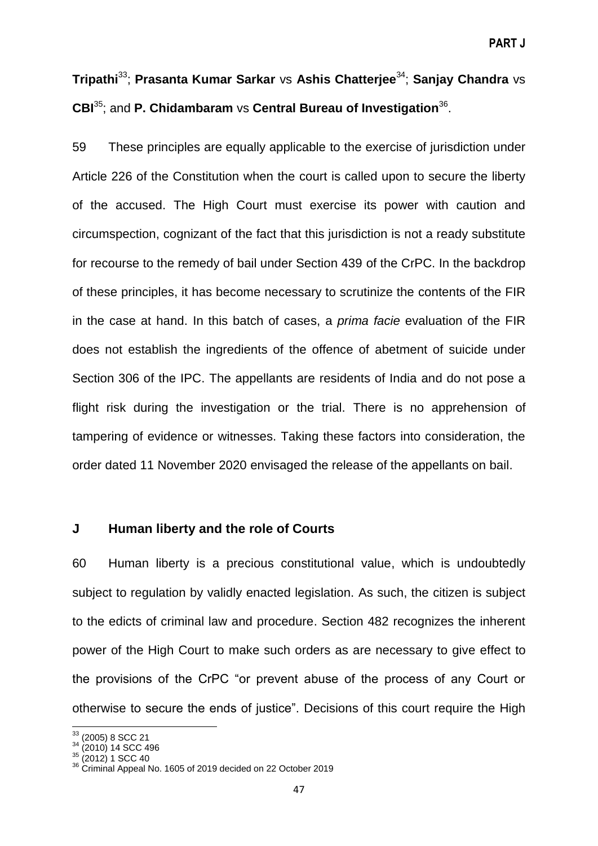# **Tripathi**<sup>33</sup>; **Prasanta Kumar Sarkar** vs **Ashis Chatterjee**<sup>34</sup>; **Sanjay Chandra** vs **CBI**<sup>35</sup>; and **P. Chidambaram** vs **Central Bureau of Investigation**<sup>36</sup> .

59 These principles are equally applicable to the exercise of jurisdiction under Article 226 of the Constitution when the court is called upon to secure the liberty of the accused. The High Court must exercise its power with caution and circumspection, cognizant of the fact that this jurisdiction is not a ready substitute for recourse to the remedy of bail under Section 439 of the CrPC. In the backdrop of these principles, it has become necessary to scrutinize the contents of the FIR in the case at hand. In this batch of cases, a *prima facie* evaluation of the FIR does not establish the ingredients of the offence of abetment of suicide under Section 306 of the IPC. The appellants are residents of India and do not pose a flight risk during the investigation or the trial. There is no apprehension of tampering of evidence or witnesses. Taking these factors into consideration, the order dated 11 November 2020 envisaged the release of the appellants on bail.

## **J Human liberty and the role of Courts**

60 Human liberty is a precious constitutional value, which is undoubtedly subject to regulation by validly enacted legislation. As such, the citizen is subject to the edicts of criminal law and procedure. Section 482 recognizes the inherent power of the High Court to make such orders as are necessary to give effect to the provisions of the CrPC "or prevent abuse of the process of any Court or otherwise to secure the ends of justice‖. Decisions of this court require the High

**.** 

<sup>33</sup> (2005) 8 SCC 21

<sup>&</sup>lt;sup>34</sup> (2010) 14 SCC 496

 $35 (2012)$  1 SCC 40

<sup>36</sup> Criminal Appeal No. 1605 of 2019 decided on 22 October 2019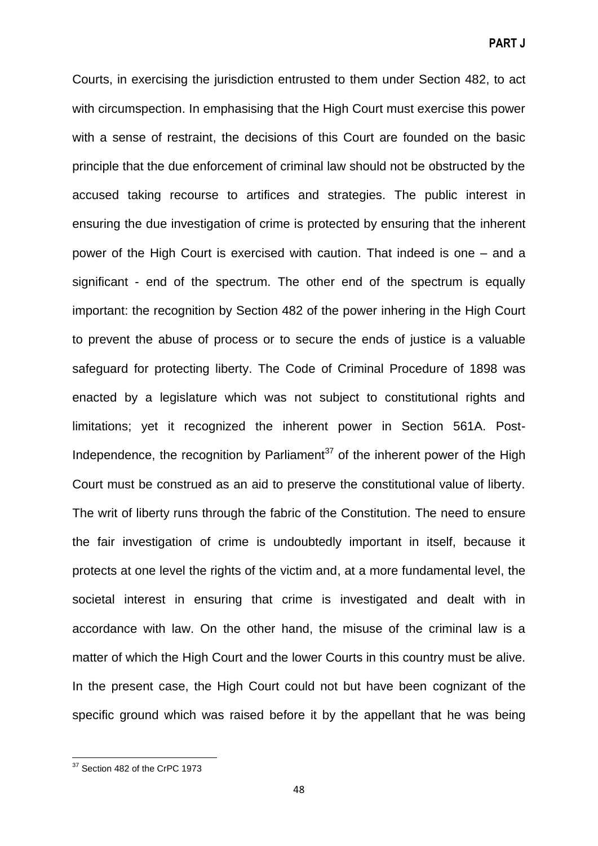Courts, in exercising the jurisdiction entrusted to them under Section 482, to act with circumspection. In emphasising that the High Court must exercise this power with a sense of restraint, the decisions of this Court are founded on the basic principle that the due enforcement of criminal law should not be obstructed by the accused taking recourse to artifices and strategies. The public interest in ensuring the due investigation of crime is protected by ensuring that the inherent power of the High Court is exercised with caution. That indeed is one – and a significant - end of the spectrum. The other end of the spectrum is equally important: the recognition by Section 482 of the power inhering in the High Court to prevent the abuse of process or to secure the ends of justice is a valuable safeguard for protecting liberty. The Code of Criminal Procedure of 1898 was enacted by a legislature which was not subject to constitutional rights and limitations; yet it recognized the inherent power in Section 561A. Post-Independence, the recognition by Parliament<sup>37</sup> of the inherent power of the High Court must be construed as an aid to preserve the constitutional value of liberty. The writ of liberty runs through the fabric of the Constitution. The need to ensure the fair investigation of crime is undoubtedly important in itself, because it protects at one level the rights of the victim and, at a more fundamental level, the societal interest in ensuring that crime is investigated and dealt with in accordance with law. On the other hand, the misuse of the criminal law is a matter of which the High Court and the lower Courts in this country must be alive. In the present case, the High Court could not but have been cognizant of the specific ground which was raised before it by the appellant that he was being

**.** 

 $37$  Section 482 of the CrPC 1973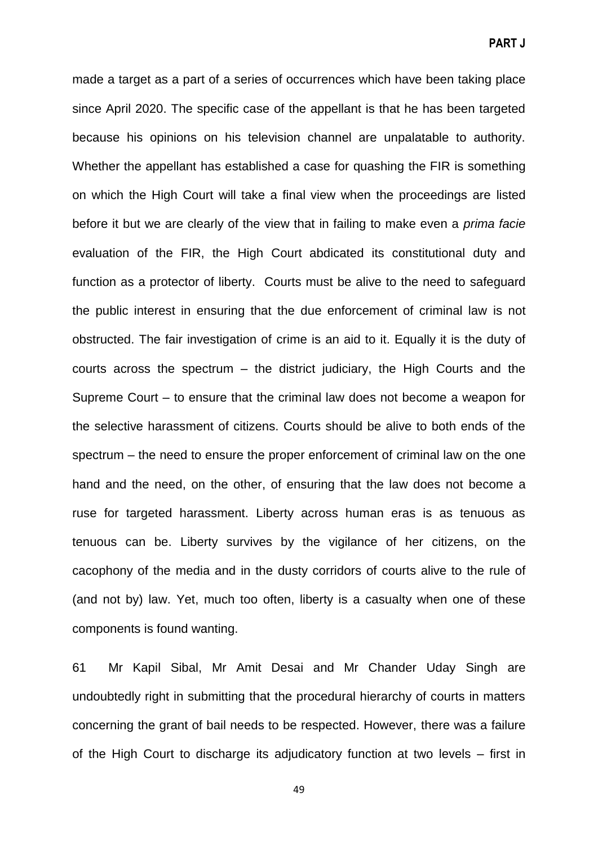made a target as a part of a series of occurrences which have been taking place since April 2020. The specific case of the appellant is that he has been targeted because his opinions on his television channel are unpalatable to authority. Whether the appellant has established a case for quashing the FIR is something on which the High Court will take a final view when the proceedings are listed before it but we are clearly of the view that in failing to make even a *prima facie* evaluation of the FIR, the High Court abdicated its constitutional duty and function as a protector of liberty. Courts must be alive to the need to safeguard the public interest in ensuring that the due enforcement of criminal law is not obstructed. The fair investigation of crime is an aid to it. Equally it is the duty of courts across the spectrum – the district judiciary, the High Courts and the Supreme Court – to ensure that the criminal law does not become a weapon for the selective harassment of citizens. Courts should be alive to both ends of the spectrum – the need to ensure the proper enforcement of criminal law on the one hand and the need, on the other, of ensuring that the law does not become a ruse for targeted harassment. Liberty across human eras is as tenuous as tenuous can be. Liberty survives by the vigilance of her citizens, on the cacophony of the media and in the dusty corridors of courts alive to the rule of (and not by) law. Yet, much too often, liberty is a casualty when one of these components is found wanting.

61 Mr Kapil Sibal, Mr Amit Desai and Mr Chander Uday Singh are undoubtedly right in submitting that the procedural hierarchy of courts in matters concerning the grant of bail needs to be respected. However, there was a failure of the High Court to discharge its adjudicatory function at two levels – first in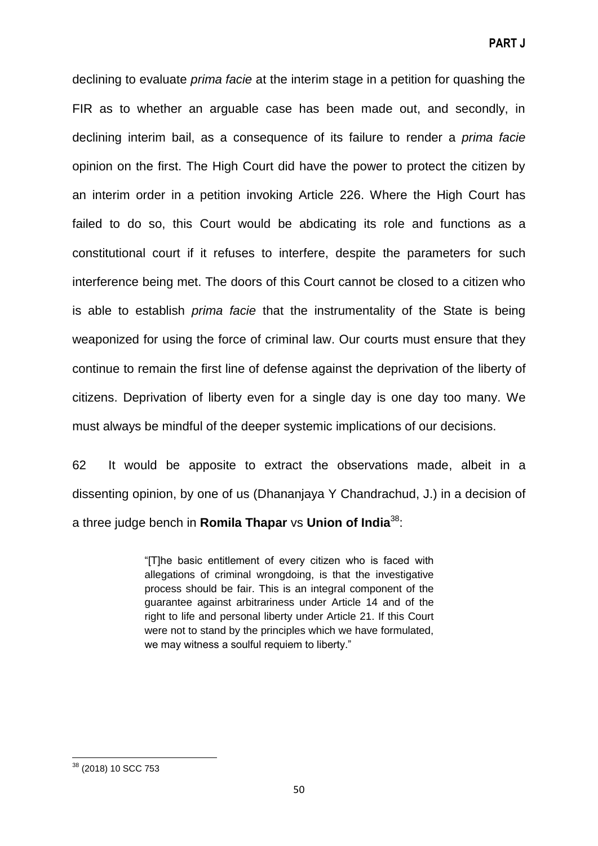declining to evaluate *prima facie* at the interim stage in a petition for quashing the FIR as to whether an arguable case has been made out, and secondly, in declining interim bail, as a consequence of its failure to render a *prima facie* opinion on the first. The High Court did have the power to protect the citizen by an interim order in a petition invoking Article 226. Where the High Court has failed to do so, this Court would be abdicating its role and functions as a constitutional court if it refuses to interfere, despite the parameters for such interference being met. The doors of this Court cannot be closed to a citizen who is able to establish *prima facie* that the instrumentality of the State is being weaponized for using the force of criminal law. Our courts must ensure that they continue to remain the first line of defense against the deprivation of the liberty of citizens. Deprivation of liberty even for a single day is one day too many. We must always be mindful of the deeper systemic implications of our decisions.

62 It would be apposite to extract the observations made, albeit in a dissenting opinion, by one of us (Dhananjaya Y Chandrachud, J.) in a decision of a three judge bench in **Romila Thapar** vs **Union of India**<sup>38</sup>:

> ―[T]he basic entitlement of every citizen who is faced with allegations of criminal wrongdoing, is that the investigative process should be fair. This is an integral component of the guarantee against arbitrariness under Article 14 and of the right to life and personal liberty under Article 21. If this Court were not to stand by the principles which we have formulated, we may witness a soulful requiem to liberty."

**<sup>.</sup>** <sup>38</sup> (2018) 10 SCC 753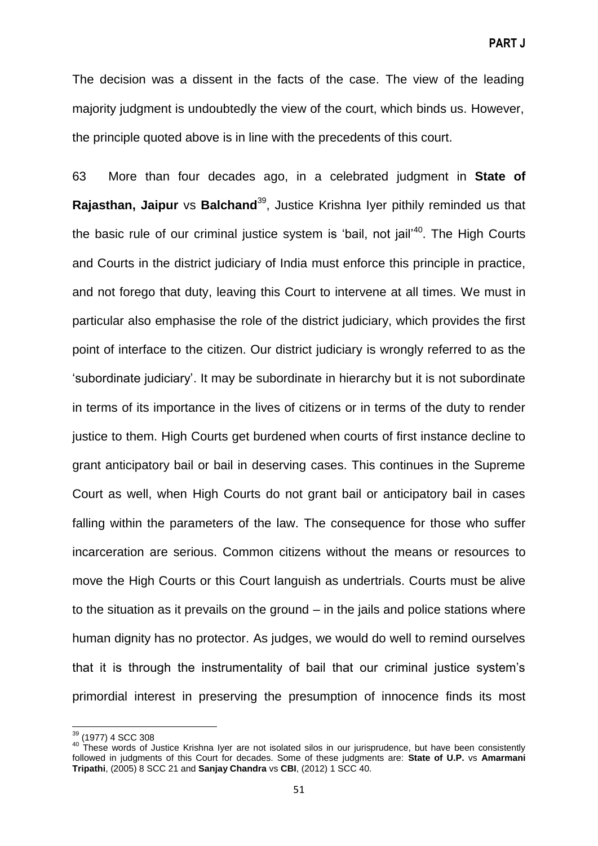The decision was a dissent in the facts of the case. The view of the leading majority judgment is undoubtedly the view of the court, which binds us. However, the principle quoted above is in line with the precedents of this court.

63 More than four decades ago, in a celebrated judgment in **State of Rajasthan, Jaipur** vs **Balchand**<sup>39</sup>, Justice Krishna Iver pithily reminded us that the basic rule of our criminal justice system is 'bail, not jail'<sup>40</sup>. The High Courts and Courts in the district judiciary of India must enforce this principle in practice, and not forego that duty, leaving this Court to intervene at all times. We must in particular also emphasise the role of the district judiciary, which provides the first point of interface to the citizen. Our district judiciary is wrongly referred to as the ‗subordinate judiciary'. It may be subordinate in hierarchy but it is not subordinate in terms of its importance in the lives of citizens or in terms of the duty to render justice to them. High Courts get burdened when courts of first instance decline to grant anticipatory bail or bail in deserving cases. This continues in the Supreme Court as well, when High Courts do not grant bail or anticipatory bail in cases falling within the parameters of the law. The consequence for those who suffer incarceration are serious. Common citizens without the means or resources to move the High Courts or this Court languish as undertrials. Courts must be alive to the situation as it prevails on the ground – in the jails and police stations where human dignity has no protector. As judges, we would do well to remind ourselves that it is through the instrumentality of bail that our criminal justice system's primordial interest in preserving the presumption of innocence finds its most

**.** 

<sup>&</sup>lt;sup>39</sup> (1977) 4 SCC 308

<sup>40</sup> These words of Justice Krishna Iyer are not isolated silos in our jurisprudence, but have been consistently followed in judgments of this Court for decades. Some of these judgments are: **State of U.P.** vs **Amarmani Tripathi**, (2005) 8 SCC 21 and **Sanjay Chandra** vs **CBI**, (2012) 1 SCC 40.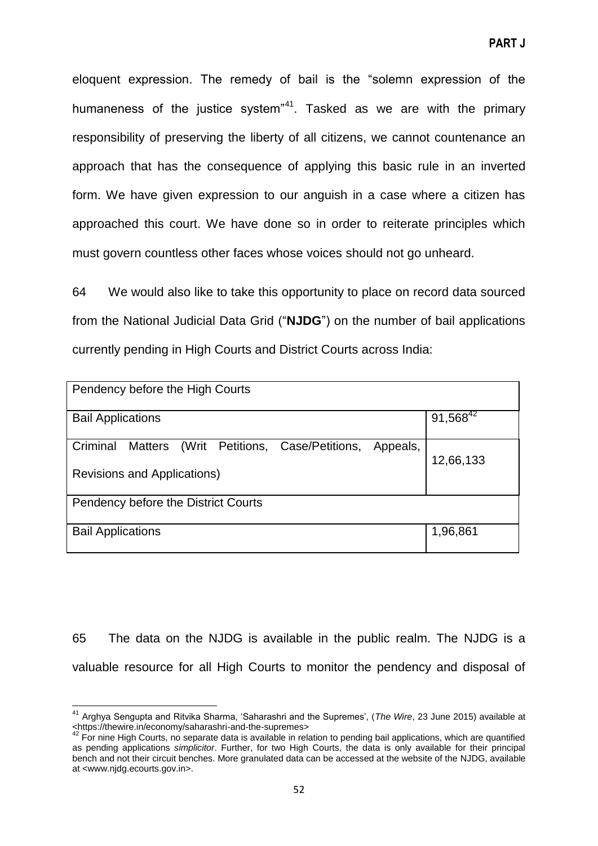eloquent expression. The remedy of bail is the "solemn expression of the humaneness of the justice system<sup>"41</sup>. Tasked as we are with the primary responsibility of preserving the liberty of all citizens, we cannot countenance an approach that has the consequence of applying this basic rule in an inverted form. We have given expression to our anguish in a case where a citizen has approached this court. We have done so in order to reiterate principles which must govern countless other faces whose voices should not go unheard.

64 We would also like to take this opportunity to place on record data sourced from the National Judicial Data Grid ("**NJDG**") on the number of bail applications currently pending in High Courts and District Courts across India:

| Pendency before the High Courts                                                                           |               |
|-----------------------------------------------------------------------------------------------------------|---------------|
| <b>Bail Applications</b>                                                                                  | $91,568^{42}$ |
| (Writ Petitions, Case/Petitions,<br>Criminal<br><b>Matters</b><br>Appeals,<br>Revisions and Applications) | 12,66,133     |
| Pendency before the District Courts                                                                       |               |
| <b>Bail Applications</b>                                                                                  | 1,96,861      |

65 The data on the NJDG is available in the public realm. The NJDG is a valuable resource for all High Courts to monitor the pendency and disposal of

**<sup>.</sup>** <sup>41</sup> Arghya Sengupta and Ritvika Sharma, 'Saharashri and the Supremes', (*The Wire*, 23 June 2015) available at <https://thewire.in/economy/saharashri-and-the-supremes>

 $42$  For nine High Courts, no separate data is available in relation to pending bail applications, which are quantified as pending applications *simplicitor*. Further, for two High Courts, the data is only available for their principal bench and not their circuit benches. More granulated data can be accessed at the website of the NJDG, available at <www.njdg.ecourts.gov.in>.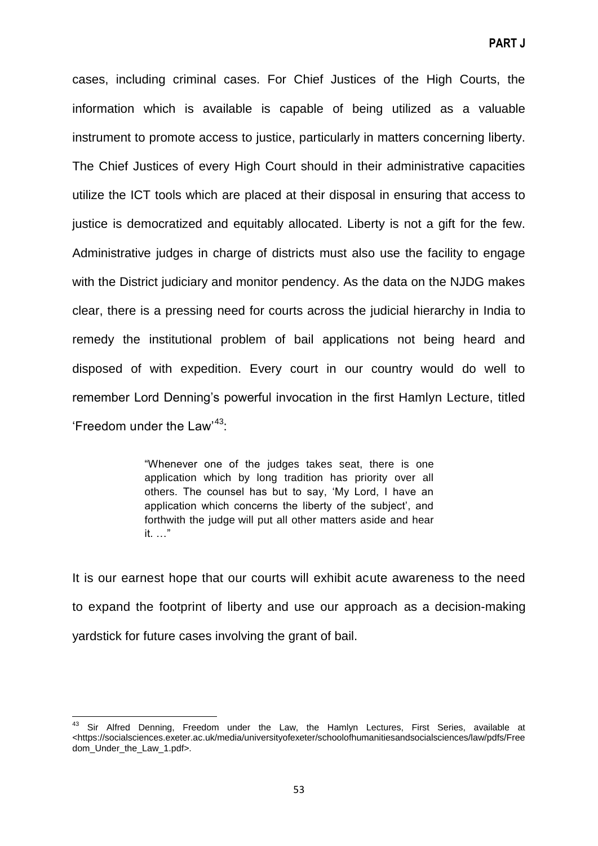cases, including criminal cases. For Chief Justices of the High Courts, the information which is available is capable of being utilized as a valuable instrument to promote access to justice, particularly in matters concerning liberty. The Chief Justices of every High Court should in their administrative capacities utilize the ICT tools which are placed at their disposal in ensuring that access to justice is democratized and equitably allocated. Liberty is not a gift for the few. Administrative judges in charge of districts must also use the facility to engage with the District judiciary and monitor pendency. As the data on the NJDG makes clear, there is a pressing need for courts across the judicial hierarchy in India to remedy the institutional problem of bail applications not being heard and disposed of with expedition. Every court in our country would do well to remember Lord Denning's powerful invocation in the first Hamlyn Lecture, titled 'Freedom under the Law<sup>43</sup>:

> "Whenever one of the judges takes seat, there is one application which by long tradition has priority over all others. The counsel has but to say, ‗My Lord, I have an application which concerns the liberty of the subject', and forthwith the judge will put all other matters aside and hear it.  $\ldots$

It is our earnest hope that our courts will exhibit acute awareness to the need to expand the footprint of liberty and use our approach as a decision-making yardstick for future cases involving the grant of bail.

 $\overline{\phantom{a}}$ 

 $43$  Sir Alfred Denning, Freedom under the Law, the Hamlyn Lectures, First Series, available at <https://socialsciences.exeter.ac.uk/media/universityofexeter/schoolofhumanitiesandsocialsciences/law/pdfs/Free dom\_Under\_the\_Law\_1.pdf>.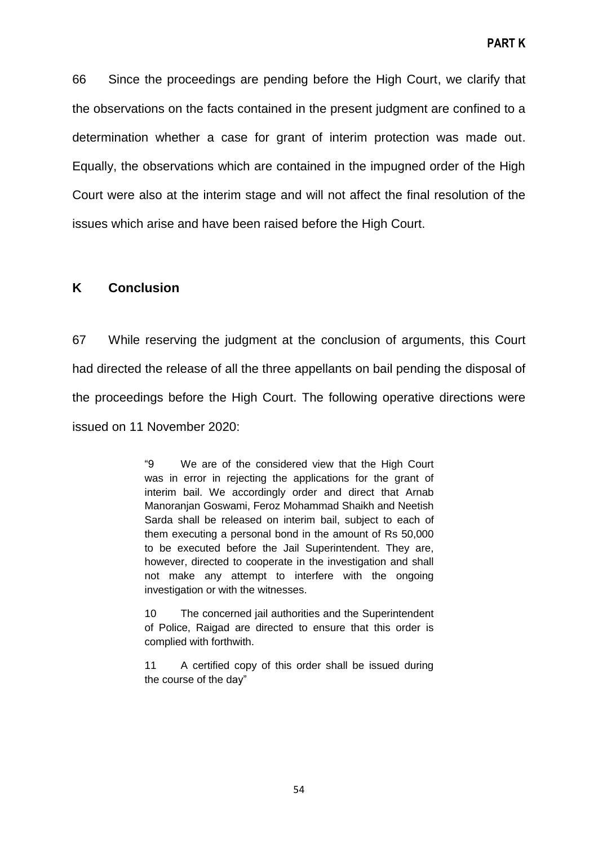66 Since the proceedings are pending before the High Court, we clarify that the observations on the facts contained in the present judgment are confined to a determination whether a case for grant of interim protection was made out. Equally, the observations which are contained in the impugned order of the High Court were also at the interim stage and will not affect the final resolution of the issues which arise and have been raised before the High Court.

#### **K Conclusion**

67 While reserving the judgment at the conclusion of arguments, this Court had directed the release of all the three appellants on bail pending the disposal of the proceedings before the High Court. The following operative directions were issued on 11 November 2020:

> ―9 We are of the considered view that the High Court was in error in rejecting the applications for the grant of interim bail. We accordingly order and direct that Arnab Manoranjan Goswami, Feroz Mohammad Shaikh and Neetish Sarda shall be released on interim bail, subject to each of them executing a personal bond in the amount of Rs 50,000 to be executed before the Jail Superintendent. They are, however, directed to cooperate in the investigation and shall not make any attempt to interfere with the ongoing investigation or with the witnesses.

> 10 The concerned jail authorities and the Superintendent of Police, Raigad are directed to ensure that this order is complied with forthwith.

> 11 A certified copy of this order shall be issued during the course of the day"